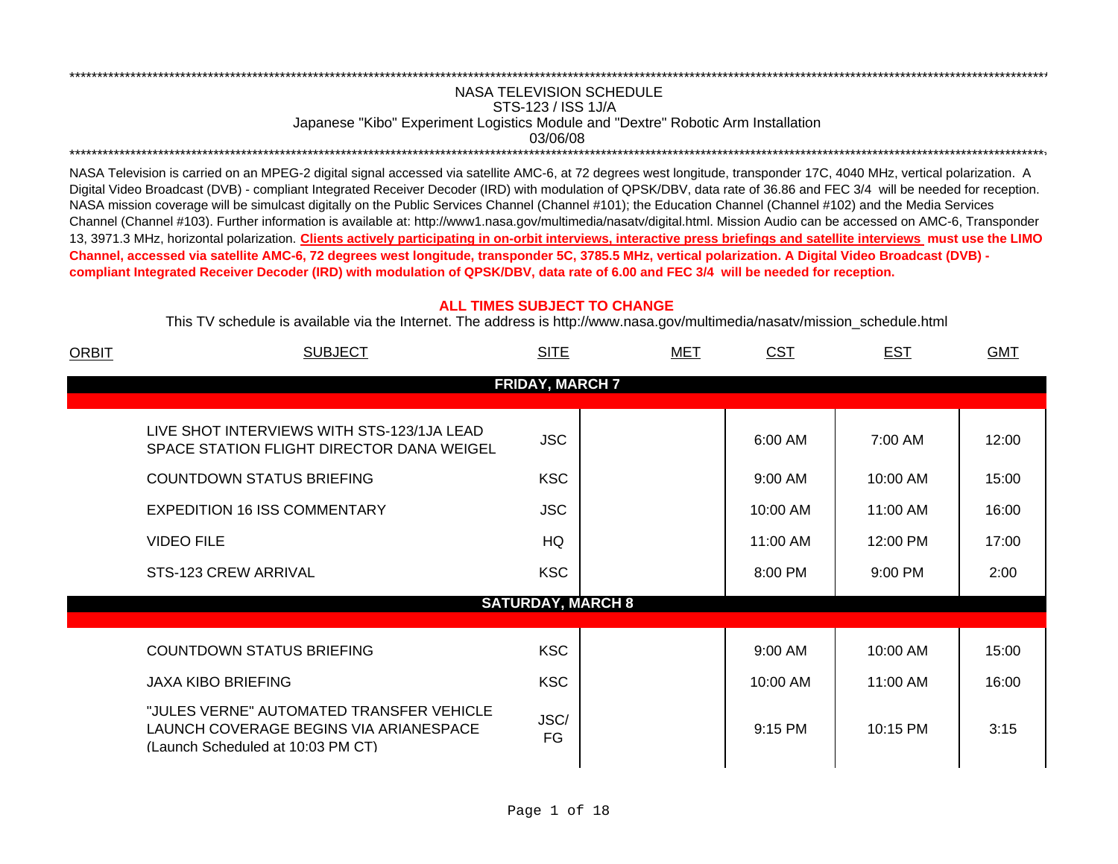## NASA TELEVISION SCHEDULESTS-123 / ISS 1J/A Japanese "Kibo" Experiment Logistics Module and "Dextre" Robotic Arm Installation 03/06/08\*\*\*\*\*\*\*\*\*\*\*\*\*\*\*\*\*\*\*\*\*\*\*\*\*\*\*\*\*\*\*\*\*\*\*\*\*\*\*\*\*\*\*\*\*\*\*\*\*\*\*\*\*\*\*\*\*\*\*\*\*\*\*\*\*\*\*\*\*\*\*\*\*\*\*\*\*\*\*\*\*\*\*\*\*\*\*\*\*\*\*\*\*\*\*\*\*\*\*\*\*\*\*\*\*\*\*\*\*\*\*\*\*\*\*\*\*\*\*\*\*\*\*\*\*\*\*\*\*\*\*\*\*\*\*\*\*\*\*\*\*\*\*\*\*\*\*\*\*\*\*\*\*\*\*\*\*\*\*\*\*\*\*\*\*\*\*\*\*\*\*\*\*\*\*\*\*

\*\*\*\*\*\*\*\*\*\*\*\*\*\*\*\*\*\*\*\*\*\*\*\*\*\*\*\*\*\*\*\*\*\*\*\*\*\*\*\*\*\*\*\*\*\*\*\*\*\*\*\*\*\*\*\*\*\*\*\*\*\*\*\*\*\*\*\*\*\*\*\*\*\*\*\*\*\*\*\*\*\*\*\*\*\*\*\*\*\*\*\*\*\*\*\*\*\*\*\*\*\*\*\*\*\*\*\*\*\*\*\*\*\*\*\*\*\*\*\*\*\*\*\*\*\*\*\*\*\*\*\*\*\*\*\*\*\*\*\*\*\*\*\*\*\*\*\*\*\*\*\*\*\*\*\*\*\*\*\*\*\*\*\*\*\*\*\*\*\*\*\*\*\*\*\*\*

NASA Television is carried on an MPEG-2 digital signal accessed via satellite AMC-6, at 72 degrees west longitude, transponder 17C, 4040 MHz, vertical polarization. A Digital Video Broadcast (DVB) - compliant Integrated Receiver Decoder (IRD) with modulation of QPSK/DBV, data rate of 36.86 and FEC 3/4 will be needed for reception. NASA mission coverage will be simulcast digitally on the Public Services Channel (Channel #101); the Education Channel (Channel #102) and the Media Services Channel (Channel #103). Further information is available at: http://www1.nasa.gov/multimedia/nasatv/digital.html. Mission Audio can be accessed on AMC-6, Transponder 13, 3971.3 MHz, horizontal polarization. **Clients actively participating in on-orbit interviews, interactive press briefings and satellite interviews must use the LIMO Channel, accessed via satellite AMC-6, 72 degrees west longitude, transponder 5C, 3785.5 MHz, vertical polarization. A Digital Video Broadcast (DVB) compliant Integrated Receiver Decoder (IRD) with modulation of QPSK/DBV, data rate of 6.00 and FEC 3/4 will be needed for reception.**

## **ALL TIMES SUBJECT TO CHANGE**

This TV schedule is available via the Internet. The address is http://www.nasa.gov/multimedia/nasatv/mission\_schedule.html

| <b>ORBIT</b> | <b>SUBJECT</b>                                                                                                              | <b>SITE</b>              | <b>MET</b> | <b>CST</b>           | <b>EST</b>          | <b>GMT</b>     |
|--------------|-----------------------------------------------------------------------------------------------------------------------------|--------------------------|------------|----------------------|---------------------|----------------|
|              |                                                                                                                             | <b>FRIDAY, MARCH 7</b>   |            |                      |                     |                |
|              | LIVE SHOT INTERVIEWS WITH STS-123/1JA LEAD<br>SPACE STATION FLIGHT DIRECTOR DANA WEIGEL<br><b>COUNTDOWN STATUS BRIEFING</b> | <b>JSC</b><br><b>KSC</b> |            | 6:00 AM<br>$9:00$ AM | 7:00 AM<br>10:00 AM | 12:00<br>15:00 |
|              | <b>EXPEDITION 16 ISS COMMENTARY</b>                                                                                         | <b>JSC</b>               |            | 10:00 AM             | 11:00 AM            | 16:00          |
|              | <b>VIDEO FILE</b>                                                                                                           | HQ                       |            | 11:00 AM             | 12:00 PM            | 17:00          |
|              | STS-123 CREW ARRIVAL                                                                                                        | <b>KSC</b>               |            | 8:00 PM              | 9:00 PM             | 2:00           |
|              |                                                                                                                             | <b>SATURDAY, MARCH 8</b> |            |                      |                     |                |
|              | <b>COUNTDOWN STATUS BRIEFING</b>                                                                                            | <b>KSC</b>               |            | 9:00 AM              | 10:00 AM            | 15:00          |
|              | <b>JAXA KIBO BRIEFING</b>                                                                                                   | <b>KSC</b>               |            | 10:00 AM             | 11:00 AM            | 16:00          |
|              | "JULES VERNE" AUTOMATED TRANSFER VEHICLE<br>LAUNCH COVERAGE BEGINS VIA ARIANESPACE<br>(Launch Scheduled at 10:03 PM CT)     | JSC/<br><b>FG</b>        |            | 9:15 PM              | 10:15 PM            | 3:15           |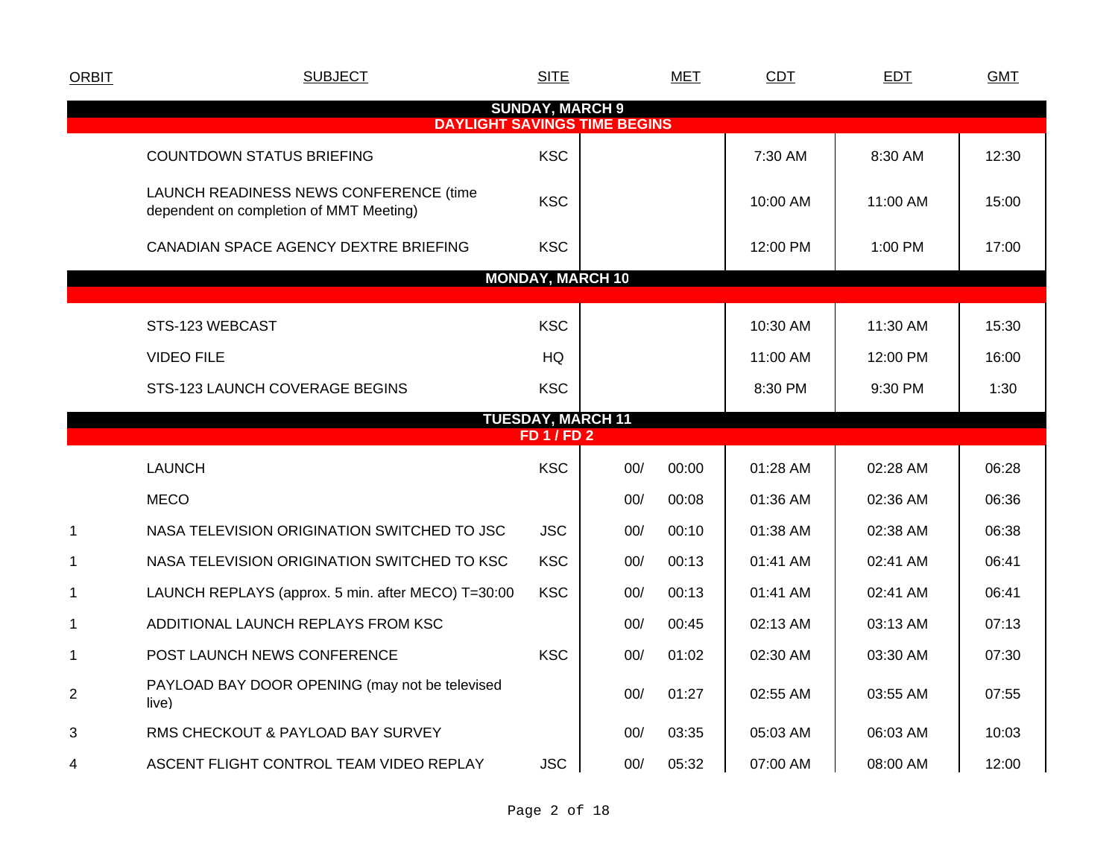| <b>ORBIT</b>   | <b>SUBJECT</b>                                                                    | <b>SITE</b>                                    |     | <b>MET</b> | CDT      | <b>EDT</b> | <b>GMT</b> |
|----------------|-----------------------------------------------------------------------------------|------------------------------------------------|-----|------------|----------|------------|------------|
|                | <b>DAYLIGHT SAVINGS TIME BEGINS</b>                                               | <b>SUNDAY, MARCH 9</b>                         |     |            |          |            |            |
|                | <b>COUNTDOWN STATUS BRIEFING</b>                                                  | <b>KSC</b>                                     |     |            | 7:30 AM  | 8:30 AM    | 12:30      |
|                | LAUNCH READINESS NEWS CONFERENCE (time<br>dependent on completion of MMT Meeting) | <b>KSC</b>                                     |     |            | 10:00 AM | 11:00 AM   | 15:00      |
|                | CANADIAN SPACE AGENCY DEXTRE BRIEFING                                             | <b>KSC</b>                                     |     |            | 12:00 PM | 1:00 PM    | 17:00      |
|                |                                                                                   | <b>MONDAY, MARCH 10</b>                        |     |            |          |            |            |
|                | STS-123 WEBCAST                                                                   | <b>KSC</b>                                     |     |            | 10:30 AM | 11:30 AM   | 15:30      |
|                | <b>VIDEO FILE</b>                                                                 | HQ                                             |     |            | 11:00 AM | 12:00 PM   | 16:00      |
|                | STS-123 LAUNCH COVERAGE BEGINS                                                    | <b>KSC</b>                                     |     |            | 8:30 PM  | 9:30 PM    | 1:30       |
|                |                                                                                   | <b>TUESDAY, MARCH 11</b><br><b>FD 1 / FD 2</b> |     |            |          |            |            |
|                |                                                                                   |                                                |     |            |          |            |            |
|                | <b>LAUNCH</b>                                                                     | <b>KSC</b>                                     | 00/ | 00:00      | 01:28 AM | 02:28 AM   | 06:28      |
|                | <b>MECO</b>                                                                       |                                                | 00/ | 00:08      | 01:36 AM | 02:36 AM   | 06:36      |
| $\mathbf 1$    | NASA TELEVISION ORIGINATION SWITCHED TO JSC                                       | <b>JSC</b>                                     | 00/ | 00:10      | 01:38 AM | 02:38 AM   | 06:38      |
| 1              | NASA TELEVISION ORIGINATION SWITCHED TO KSC                                       | <b>KSC</b>                                     | 00/ | 00:13      | 01:41 AM | 02:41 AM   | 06:41      |
| 1              | LAUNCH REPLAYS (approx. 5 min. after MECO) T=30:00                                | <b>KSC</b>                                     | 00/ | 00:13      | 01:41 AM | 02:41 AM   | 06:41      |
| 1              | ADDITIONAL LAUNCH REPLAYS FROM KSC                                                |                                                | 00/ | 00:45      | 02:13 AM | 03:13 AM   | 07:13      |
| 1              | POST LAUNCH NEWS CONFERENCE                                                       | <b>KSC</b>                                     | 00/ | 01:02      | 02:30 AM | 03:30 AM   | 07:30      |
| $\overline{2}$ | PAYLOAD BAY DOOR OPENING (may not be televised<br>live)                           |                                                | 00/ | 01:27      | 02:55 AM | 03:55 AM   | 07:55      |
| 3              | RMS CHECKOUT & PAYLOAD BAY SURVEY                                                 |                                                | 00/ | 03:35      | 05:03 AM | 06:03 AM   | 10:03      |
| 4              | ASCENT FLIGHT CONTROL TEAM VIDEO REPLAY                                           | <b>JSC</b>                                     | 00/ | 05:32      | 07:00 AM | 08:00 AM   | 12:00      |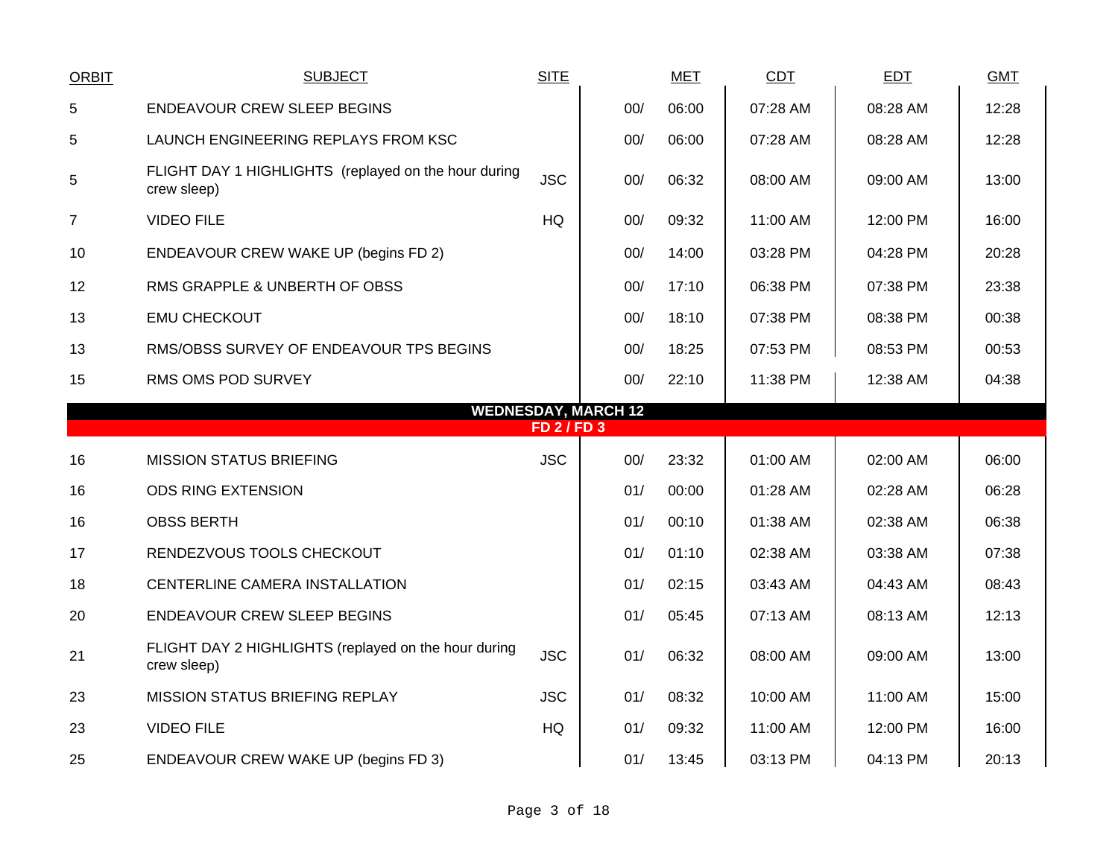| <b>ORBIT</b>   | <b>SUBJECT</b>                                                      | <b>SITE</b>      |                            | <b>MET</b> | <b>CDT</b> | <b>EDT</b> | <b>GMT</b> |
|----------------|---------------------------------------------------------------------|------------------|----------------------------|------------|------------|------------|------------|
| 5              | <b>ENDEAVOUR CREW SLEEP BEGINS</b>                                  |                  | 00/                        | 06:00      | 07:28 AM   | 08:28 AM   | 12:28      |
| 5              | LAUNCH ENGINEERING REPLAYS FROM KSC                                 |                  | 00/                        | 06:00      | 07:28 AM   | 08:28 AM   | 12:28      |
| 5              | FLIGHT DAY 1 HIGHLIGHTS (replayed on the hour during<br>crew sleep) | <b>JSC</b>       | 00/                        | 06:32      | 08:00 AM   | 09:00 AM   | 13:00      |
| $\overline{7}$ | <b>VIDEO FILE</b>                                                   | HQ               | 00/                        | 09:32      | 11:00 AM   | 12:00 PM   | 16:00      |
| 10             | ENDEAVOUR CREW WAKE UP (begins FD 2)                                |                  | 00/                        | 14:00      | 03:28 PM   | 04:28 PM   | 20:28      |
| 12             | RMS GRAPPLE & UNBERTH OF OBSS                                       |                  | 00/                        | 17:10      | 06:38 PM   | 07:38 PM   | 23:38      |
| 13             | <b>EMU CHECKOUT</b>                                                 |                  | 00/                        | 18:10      | 07:38 PM   | 08:38 PM   | 00:38      |
| 13             | RMS/OBSS SURVEY OF ENDEAVOUR TPS BEGINS                             |                  | 00/                        | 18:25      | 07:53 PM   | 08:53 PM   | 00:53      |
| 15             | RMS OMS POD SURVEY                                                  |                  | 00/                        | 22:10      | 11:38 PM   | 12:38 AM   | 04:38      |
|                |                                                                     | <b>FD 2/FD 3</b> | <b>WEDNESDAY, MARCH 12</b> |            |            |            |            |
|                |                                                                     |                  |                            |            |            |            |            |
| 16             | <b>MISSION STATUS BRIEFING</b>                                      | <b>JSC</b>       | 00/                        | 23:32      | 01:00 AM   | 02:00 AM   | 06:00      |
| 16             | <b>ODS RING EXTENSION</b>                                           |                  | 01/                        | 00:00      | 01:28 AM   | 02:28 AM   | 06:28      |
| 16             | <b>OBSS BERTH</b>                                                   |                  | 01/                        | 00:10      | 01:38 AM   | 02:38 AM   | 06:38      |
| 17             | RENDEZVOUS TOOLS CHECKOUT                                           |                  | 01/                        | 01:10      | 02:38 AM   | 03:38 AM   | 07:38      |
| 18             | CENTERLINE CAMERA INSTALLATION                                      |                  | 01/                        | 02:15      | 03:43 AM   | 04:43 AM   | 08:43      |
| 20             | <b>ENDEAVOUR CREW SLEEP BEGINS</b>                                  |                  | 01/                        | 05:45      | 07:13 AM   | 08:13 AM   | 12:13      |
| 21             | FLIGHT DAY 2 HIGHLIGHTS (replayed on the hour during<br>crew sleep) | <b>JSC</b>       | 01/                        | 06:32      | 08:00 AM   | 09:00 AM   | 13:00      |
| 23             | <b>MISSION STATUS BRIEFING REPLAY</b>                               | <b>JSC</b>       | 01/                        | 08:32      | 10:00 AM   | 11:00 AM   | 15:00      |
| 23             | <b>VIDEO FILE</b>                                                   | HQ               | 01/                        | 09:32      | 11:00 AM   | 12:00 PM   | 16:00      |
| 25             | <b>ENDEAVOUR CREW WAKE UP (begins FD 3)</b>                         |                  | 01/                        | 13:45      | 03:13 PM   | 04:13 PM   | 20:13      |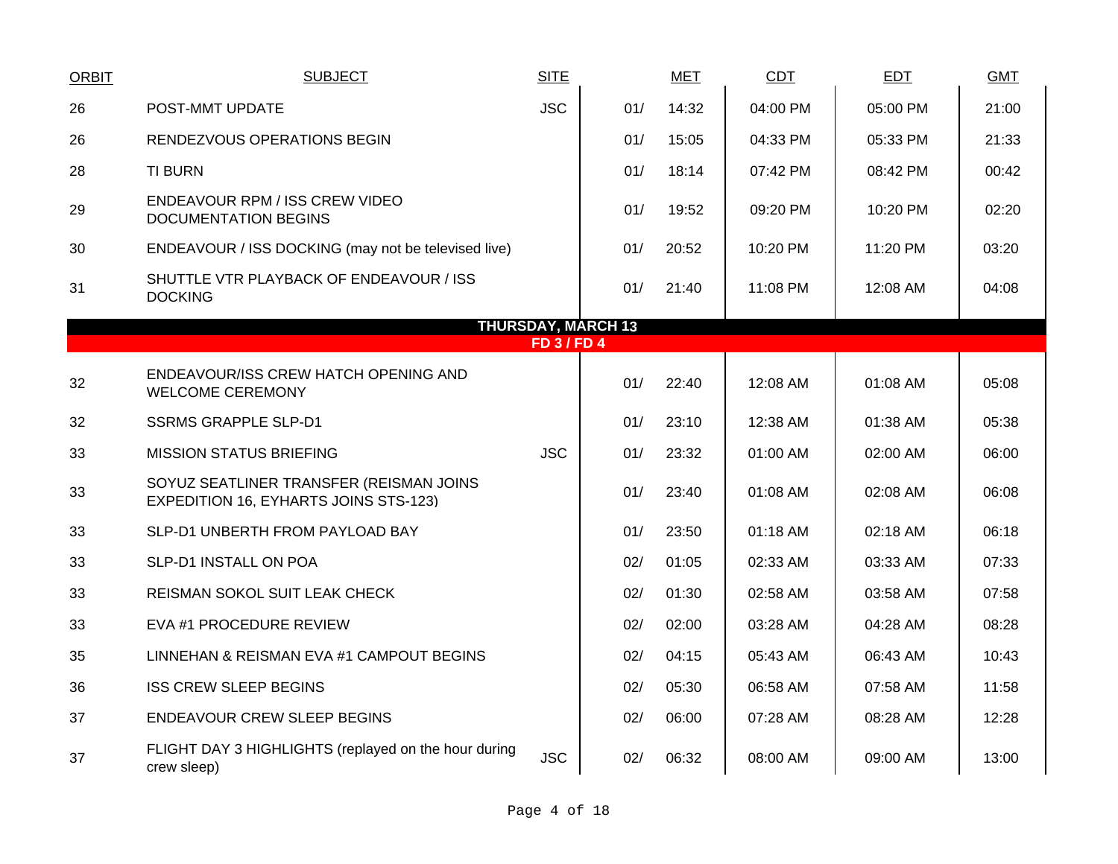| <b>ORBIT</b> | <b>SUBJECT</b>                                                                          | <b>SITE</b>      |                           | <b>MET</b> | CDT      | <b>EDT</b> | <b>GMT</b> |
|--------------|-----------------------------------------------------------------------------------------|------------------|---------------------------|------------|----------|------------|------------|
| 26           | POST-MMT UPDATE                                                                         | <b>JSC</b>       | 01/                       | 14:32      | 04:00 PM | 05:00 PM   | 21:00      |
| 26           | RENDEZVOUS OPERATIONS BEGIN                                                             |                  | 01/                       | 15:05      | 04:33 PM | 05:33 PM   | 21:33      |
| 28           | <b>TI BURN</b>                                                                          |                  | 01/                       | 18:14      | 07:42 PM | 08:42 PM   | 00:42      |
| 29           | ENDEAVOUR RPM / ISS CREW VIDEO<br><b>DOCUMENTATION BEGINS</b>                           |                  | 01/                       | 19:52      | 09:20 PM | 10:20 PM   | 02:20      |
| 30           | ENDEAVOUR / ISS DOCKING (may not be televised live)                                     |                  | 01/                       | 20:52      | 10:20 PM | 11:20 PM   | 03:20      |
| 31           | SHUTTLE VTR PLAYBACK OF ENDEAVOUR / ISS<br><b>DOCKING</b>                               |                  | 01/                       | 21:40      | 11:08 PM | 12:08 AM   | 04:08      |
|              |                                                                                         |                  | <b>THURSDAY, MARCH 13</b> |            |          |            |            |
|              |                                                                                         | <b>FD 3/FD 4</b> |                           |            |          |            |            |
| 32           | ENDEAVOUR/ISS CREW HATCH OPENING AND<br><b>WELCOME CEREMONY</b>                         |                  | 01/                       | 22:40      | 12:08 AM | 01:08 AM   | 05:08      |
| 32           | <b>SSRMS GRAPPLE SLP-D1</b>                                                             |                  | 01/                       | 23:10      | 12:38 AM | 01:38 AM   | 05:38      |
| 33           | <b>MISSION STATUS BRIEFING</b>                                                          | <b>JSC</b>       | 01/                       | 23:32      | 01:00 AM | 02:00 AM   | 06:00      |
| 33           | SOYUZ SEATLINER TRANSFER (REISMAN JOINS<br><b>EXPEDITION 16, EYHARTS JOINS STS-123)</b> |                  | 01/                       | 23:40      | 01:08 AM | 02:08 AM   | 06:08      |
| 33           | SLP-D1 UNBERTH FROM PAYLOAD BAY                                                         |                  | 01/                       | 23:50      | 01:18 AM | 02:18 AM   | 06:18      |
| 33           | SLP-D1 INSTALL ON POA                                                                   |                  | 02/                       | 01:05      | 02:33 AM | 03:33 AM   | 07:33      |
| 33           | REISMAN SOKOL SUIT LEAK CHECK                                                           |                  | 02/                       | 01:30      | 02:58 AM | 03:58 AM   | 07:58      |
| 33           | EVA #1 PROCEDURE REVIEW                                                                 |                  | 02/                       | 02:00      | 03:28 AM | 04:28 AM   | 08:28      |
| 35           | LINNEHAN & REISMAN EVA #1 CAMPOUT BEGINS                                                |                  | 02/                       | 04:15      | 05:43 AM | 06:43 AM   | 10:43      |
| 36           | <b>ISS CREW SLEEP BEGINS</b>                                                            |                  | 02/                       | 05:30      | 06:58 AM | 07:58 AM   | 11:58      |
| 37           | <b>ENDEAVOUR CREW SLEEP BEGINS</b>                                                      |                  | 02/                       | 06:00      | 07:28 AM | 08:28 AM   | 12:28      |
| 37           | FLIGHT DAY 3 HIGHLIGHTS (replayed on the hour during<br>crew sleep)                     | <b>JSC</b>       | 02/                       | 06:32      | 08:00 AM | 09:00 AM   | 13:00      |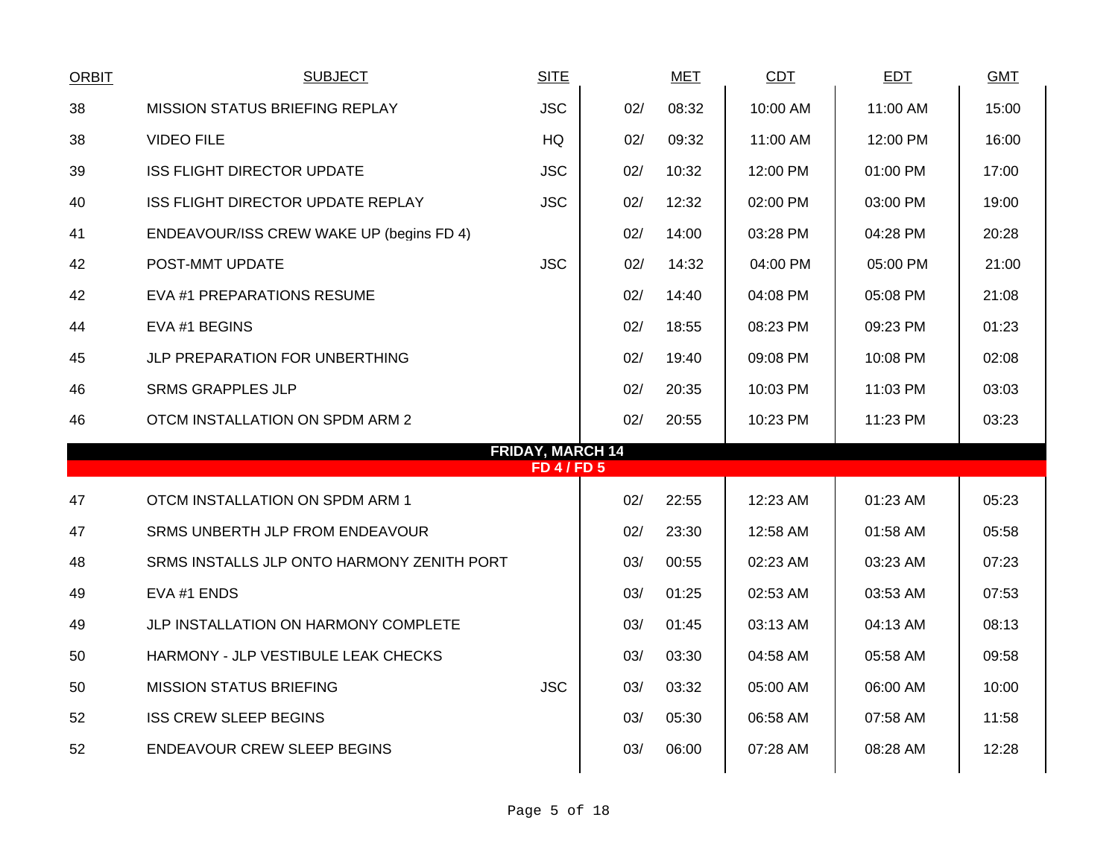| <b>ORBIT</b> | <b>SUBJECT</b>                             | <b>SITE</b>             |     | <b>MET</b> | <b>CDT</b> | <b>EDT</b> | <b>GMT</b> |
|--------------|--------------------------------------------|-------------------------|-----|------------|------------|------------|------------|
| 38           | <b>MISSION STATUS BRIEFING REPLAY</b>      | <b>JSC</b>              | 02/ | 08:32      | 10:00 AM   | 11:00 AM   | 15:00      |
| 38           | <b>VIDEO FILE</b>                          | <b>HQ</b>               | 02/ | 09:32      | 11:00 AM   | 12:00 PM   | 16:00      |
| 39           | <b>ISS FLIGHT DIRECTOR UPDATE</b>          | <b>JSC</b>              | 02/ | 10:32      | 12:00 PM   | 01:00 PM   | 17:00      |
| 40           | <b>ISS FLIGHT DIRECTOR UPDATE REPLAY</b>   | <b>JSC</b>              | 02/ | 12:32      | 02:00 PM   | 03:00 PM   | 19:00      |
| 41           | ENDEAVOUR/ISS CREW WAKE UP (begins FD 4)   |                         | 02/ | 14:00      | 03:28 PM   | 04:28 PM   | 20:28      |
| 42           | POST-MMT UPDATE                            | <b>JSC</b>              | 02/ | 14:32      | 04:00 PM   | 05:00 PM   | 21:00      |
| 42           | EVA #1 PREPARATIONS RESUME                 |                         | 02/ | 14:40      | 04:08 PM   | 05:08 PM   | 21:08      |
| 44           | EVA #1 BEGINS                              |                         | 02/ | 18:55      | 08:23 PM   | 09:23 PM   | 01:23      |
| 45           | JLP PREPARATION FOR UNBERTHING             |                         | 02/ | 19:40      | 09:08 PM   | 10:08 PM   | 02:08      |
| 46           | <b>SRMS GRAPPLES JLP</b>                   |                         | 02/ | 20:35      | 10:03 PM   | 11:03 PM   | 03:03      |
| 46           | OTCM INSTALLATION ON SPDM ARM 2            |                         | 02/ | 20:55      | 10:23 PM   | 11:23 PM   | 03:23      |
|              |                                            | <b>FRIDAY, MARCH 14</b> |     |            |            |            |            |
|              |                                            | <b>FD 4/FD 5</b>        |     |            |            |            |            |
| 47           | OTCM INSTALLATION ON SPDM ARM 1            |                         | 02/ | 22:55      | 12:23 AM   | 01:23 AM   | 05:23      |
| 47           | SRMS UNBERTH JLP FROM ENDEAVOUR            |                         | 02/ | 23:30      | 12:58 AM   | 01:58 AM   | 05:58      |
| 48           | SRMS INSTALLS JLP ONTO HARMONY ZENITH PORT |                         | 03/ | 00:55      | 02:23 AM   | 03:23 AM   | 07:23      |
| 49           | EVA #1 ENDS                                |                         | 03/ | 01:25      | 02:53 AM   | 03:53 AM   | 07:53      |
| 49           | JLP INSTALLATION ON HARMONY COMPLETE       |                         | 03/ | 01:45      | 03:13 AM   | 04:13 AM   | 08:13      |
| 50           | HARMONY - JLP VESTIBULE LEAK CHECKS        |                         | 03/ | 03:30      | 04:58 AM   | 05:58 AM   | 09:58      |
| 50           | <b>MISSION STATUS BRIEFING</b>             | <b>JSC</b>              | 03/ | 03:32      | 05:00 AM   | 06:00 AM   | 10:00      |
| 52           | <b>ISS CREW SLEEP BEGINS</b>               |                         | 03/ | 05:30      | 06:58 AM   | 07:58 AM   | 11:58      |
| 52           | <b>ENDEAVOUR CREW SLEEP BEGINS</b>         |                         | 03/ | 06:00      | 07:28 AM   | 08:28 AM   | 12:28      |
|              |                                            |                         |     |            |            |            |            |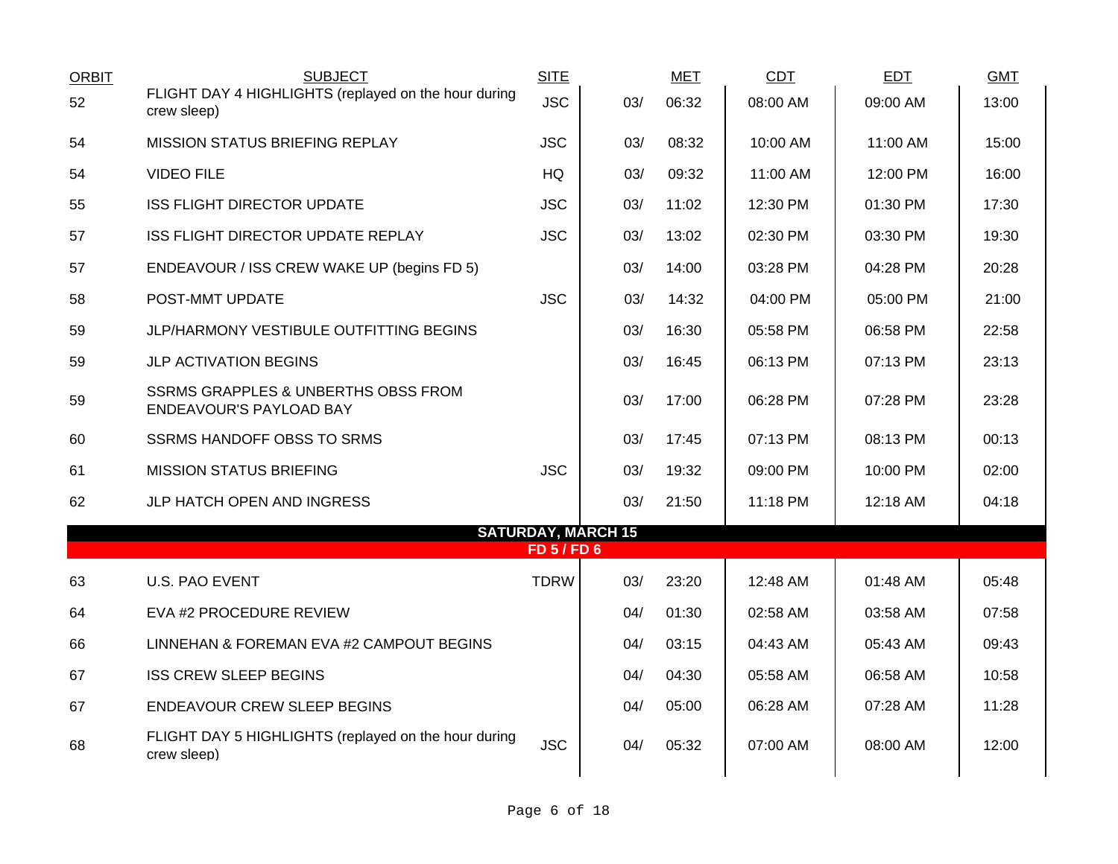| <b>ORBIT</b> | <b>SUBJECT</b>                                                            | <b>SITE</b>      |                           | <b>MET</b> | <b>CDT</b> | <b>EDT</b> | <b>GMT</b> |
|--------------|---------------------------------------------------------------------------|------------------|---------------------------|------------|------------|------------|------------|
| 52           | FLIGHT DAY 4 HIGHLIGHTS (replayed on the hour during<br>crew sleep)       | <b>JSC</b>       | 03/                       | 06:32      | 08:00 AM   | 09:00 AM   | 13:00      |
| 54           | <b>MISSION STATUS BRIEFING REPLAY</b>                                     | <b>JSC</b>       | 03/                       | 08:32      | 10:00 AM   | 11:00 AM   | 15:00      |
| 54           | <b>VIDEO FILE</b>                                                         | HQ               | 03/                       | 09:32      | 11:00 AM   | 12:00 PM   | 16:00      |
| 55           | <b>ISS FLIGHT DIRECTOR UPDATE</b>                                         | <b>JSC</b>       | 03/                       | 11:02      | 12:30 PM   | 01:30 PM   | 17:30      |
| 57           | ISS FLIGHT DIRECTOR UPDATE REPLAY                                         | <b>JSC</b>       | 03/                       | 13:02      | 02:30 PM   | 03:30 PM   | 19:30      |
| 57           | ENDEAVOUR / ISS CREW WAKE UP (begins FD 5)                                |                  | 03/                       | 14:00      | 03:28 PM   | 04:28 PM   | 20:28      |
| 58           | POST-MMT UPDATE                                                           | <b>JSC</b>       | 03/                       | 14:32      | 04:00 PM   | 05:00 PM   | 21:00      |
| 59           | JLP/HARMONY VESTIBULE OUTFITTING BEGINS                                   |                  | 03/                       | 16:30      | 05:58 PM   | 06:58 PM   | 22:58      |
| 59           | <b>JLP ACTIVATION BEGINS</b>                                              |                  | 03/                       | 16:45      | 06:13 PM   | 07:13 PM   | 23:13      |
| 59           | <b>SSRMS GRAPPLES &amp; UNBERTHS OBSS FROM</b><br>ENDEAVOUR'S PAYLOAD BAY |                  | 03/                       | 17:00      | 06:28 PM   | 07:28 PM   | 23:28      |
| 60           | <b>SSRMS HANDOFF OBSS TO SRMS</b>                                         |                  | 03/                       | 17:45      | 07:13 PM   | 08:13 PM   | 00:13      |
| 61           | <b>MISSION STATUS BRIEFING</b>                                            | <b>JSC</b>       | 03/                       | 19:32      | 09:00 PM   | 10:00 PM   | 02:00      |
| 62           | JLP HATCH OPEN AND INGRESS                                                |                  | 03/                       | 21:50      | 11:18 PM   | 12:18 AM   | 04:18      |
|              |                                                                           | <b>FD 5/FD 6</b> | <b>SATURDAY, MARCH 15</b> |            |            |            |            |
| 63           | <b>U.S. PAO EVENT</b>                                                     | <b>TDRW</b>      | 03/                       | 23:20      | 12:48 AM   | 01:48 AM   | 05:48      |
| 64           | EVA #2 PROCEDURE REVIEW                                                   |                  | 04/                       | 01:30      | 02:58 AM   | 03:58 AM   | 07:58      |
| 66           | LINNEHAN & FOREMAN EVA #2 CAMPOUT BEGINS                                  |                  | 04/                       | 03:15      | 04:43 AM   | 05:43 AM   | 09:43      |
| 67           | <b>ISS CREW SLEEP BEGINS</b>                                              |                  | 04/                       | 04:30      | 05:58 AM   | 06:58 AM   | 10:58      |
| 67           | <b>ENDEAVOUR CREW SLEEP BEGINS</b>                                        |                  | 04/                       | 05:00      | 06:28 AM   | 07:28 AM   | 11:28      |
| 68           | FLIGHT DAY 5 HIGHLIGHTS (replayed on the hour during<br>crew sleep)       | <b>JSC</b>       | 04/                       | 05:32      | 07:00 AM   | 08:00 AM   | 12:00      |
|              |                                                                           |                  |                           |            |            |            |            |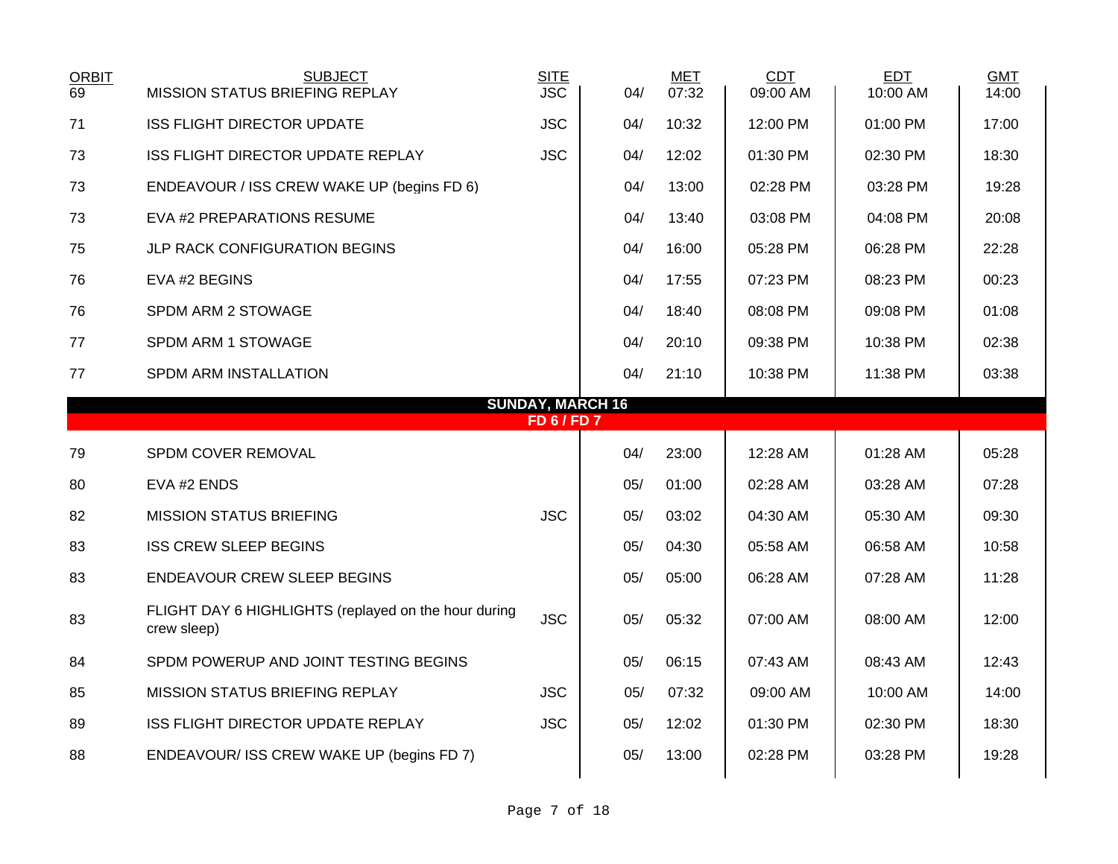| <b>ORBIT</b><br>69 | <b>SUBJECT</b><br><b>MISSION STATUS BRIEFING REPLAY</b>             | <b>SITE</b><br><b>JSC</b> | 04/                     | <b>MET</b><br>07:32 | <b>CDT</b><br>09:00 AM | <b>EDT</b><br>10:00 AM | <b>GMT</b><br>14:00 |
|--------------------|---------------------------------------------------------------------|---------------------------|-------------------------|---------------------|------------------------|------------------------|---------------------|
| 71                 | <b>ISS FLIGHT DIRECTOR UPDATE</b>                                   | <b>JSC</b>                | 04/                     | 10:32               | 12:00 PM               | 01:00 PM               | 17:00               |
| 73                 | <b>ISS FLIGHT DIRECTOR UPDATE REPLAY</b>                            | <b>JSC</b>                | 04/                     | 12:02               | 01:30 PM               | 02:30 PM               | 18:30               |
| 73                 | ENDEAVOUR / ISS CREW WAKE UP (begins FD 6)                          |                           | 04/                     | 13:00               | 02:28 PM               | 03:28 PM               | 19:28               |
| 73                 | EVA #2 PREPARATIONS RESUME                                          |                           | 04/                     | 13:40               | 03:08 PM               | 04:08 PM               | 20:08               |
| 75                 | <b>JLP RACK CONFIGURATION BEGINS</b>                                |                           | 04/                     | 16:00               | 05:28 PM               | 06:28 PM               | 22:28               |
| 76                 | EVA #2 BEGINS                                                       |                           | 04/                     | 17:55               | 07:23 PM               | 08:23 PM               | 00:23               |
| 76                 | SPDM ARM 2 STOWAGE                                                  |                           | 04/                     | 18:40               | 08:08 PM               | 09:08 PM               | 01:08               |
| 77                 | SPDM ARM 1 STOWAGE                                                  |                           | 04/                     | 20:10               | 09:38 PM               | 10:38 PM               | 02:38               |
| 77                 | SPDM ARM INSTALLATION                                               |                           | 04/                     | 21:10               | 10:38 PM               | 11:38 PM               | 03:38               |
|                    |                                                                     | <b>FD6/FD7</b>            | <b>SUNDAY, MARCH 16</b> |                     |                        |                        |                     |
| 79                 | SPDM COVER REMOVAL                                                  |                           | 04/                     | 23:00               | 12:28 AM               | 01:28 AM               | 05:28               |
| 80                 | EVA #2 ENDS                                                         |                           | 05/                     | 01:00               | 02:28 AM               | 03:28 AM               | 07:28               |
| 82                 | <b>MISSION STATUS BRIEFING</b>                                      | <b>JSC</b>                | 05/                     | 03:02               | 04:30 AM               | 05:30 AM               | 09:30               |
| 83                 | <b>ISS CREW SLEEP BEGINS</b>                                        |                           | 05/                     | 04:30               | 05:58 AM               | 06:58 AM               | 10:58               |
| 83                 | <b>ENDEAVOUR CREW SLEEP BEGINS</b>                                  |                           | 05/                     | 05:00               | 06:28 AM               | 07:28 AM               | 11:28               |
| 83                 | FLIGHT DAY 6 HIGHLIGHTS (replayed on the hour during<br>crew sleep) | <b>JSC</b>                | 05/                     | 05:32               | 07:00 AM               | 08:00 AM               | 12:00               |
| 84                 | SPDM POWERUP AND JOINT TESTING BEGINS                               |                           | 05/                     | 06:15               | 07:43 AM               | 08:43 AM               | 12:43               |
| 85                 | <b>MISSION STATUS BRIEFING REPLAY</b>                               | <b>JSC</b>                | 05/                     | 07:32               | 09:00 AM               | 10:00 AM               | 14:00               |
| 89                 | ISS FLIGHT DIRECTOR UPDATE REPLAY                                   | <b>JSC</b>                | 05/                     | 12:02               | 01:30 PM               | 02:30 PM               | 18:30               |
| 88                 | ENDEAVOUR/ ISS CREW WAKE UP (begins FD 7)                           |                           | 05/                     | 13:00               | 02:28 PM               | 03:28 PM               | 19:28               |
|                    |                                                                     |                           |                         |                     |                        |                        |                     |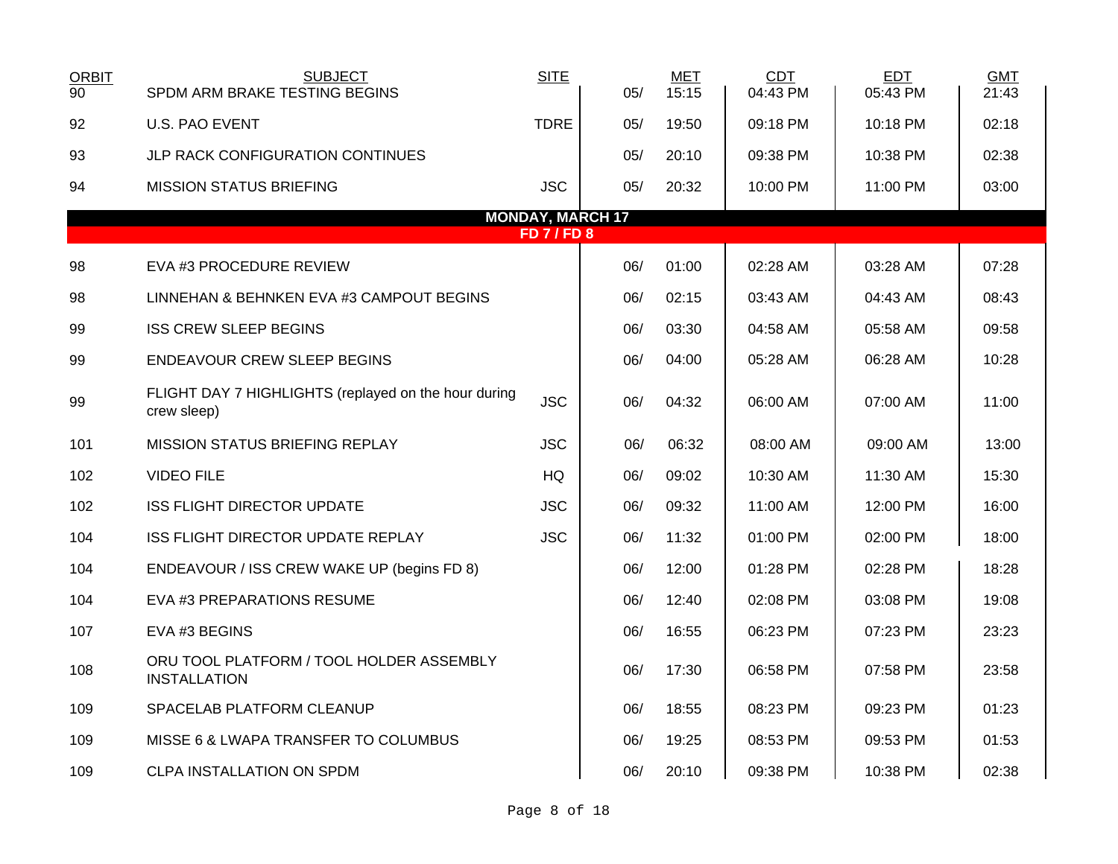| <b>ORBIT</b><br>$\overline{90}$ | <b>SUBJECT</b><br>SPDM ARM BRAKE TESTING BEGINS                     | <b>SITE</b>             | 05/ | <b>MET</b><br>15:15 | <b>CDT</b><br>04:43 PM | <b>EDT</b><br>05:43 PM | <b>GMT</b><br>21:43 |  |  |  |
|---------------------------------|---------------------------------------------------------------------|-------------------------|-----|---------------------|------------------------|------------------------|---------------------|--|--|--|
| 92                              | <b>U.S. PAO EVENT</b>                                               | <b>TDRE</b>             | 05/ | 19:50               | 09:18 PM               | 10:18 PM               | 02:18               |  |  |  |
| 93                              | JLP RACK CONFIGURATION CONTINUES                                    |                         | 05/ | 20:10               | 09:38 PM               | 10:38 PM               | 02:38               |  |  |  |
| 94                              | <b>MISSION STATUS BRIEFING</b>                                      | <b>JSC</b>              | 05/ | 20:32               | 10:00 PM               | 11:00 PM               | 03:00               |  |  |  |
|                                 |                                                                     | <b>MONDAY, MARCH 17</b> |     |                     |                        |                        |                     |  |  |  |
|                                 | <b>FD 7 / FD 8</b>                                                  |                         |     |                     |                        |                        |                     |  |  |  |
| 98                              | EVA #3 PROCEDURE REVIEW                                             |                         | 06/ | 01:00               | 02:28 AM               | 03:28 AM               | 07:28               |  |  |  |
| 98                              | LINNEHAN & BEHNKEN EVA #3 CAMPOUT BEGINS                            |                         | 06/ | 02:15               | 03:43 AM               | 04:43 AM               | 08:43               |  |  |  |
| 99                              | <b>ISS CREW SLEEP BEGINS</b>                                        |                         | 06/ | 03:30               | 04:58 AM               | 05:58 AM               | 09:58               |  |  |  |
| 99                              | <b>ENDEAVOUR CREW SLEEP BEGINS</b>                                  |                         | 06/ | 04:00               | 05:28 AM               | 06:28 AM               | 10:28               |  |  |  |
| 99                              | FLIGHT DAY 7 HIGHLIGHTS (replayed on the hour during<br>crew sleep) | <b>JSC</b>              | 06/ | 04:32               | 06:00 AM               | 07:00 AM               | 11:00               |  |  |  |
| 101                             | <b>MISSION STATUS BRIEFING REPLAY</b>                               | <b>JSC</b>              | 06/ | 06:32               | 08:00 AM               | 09:00 AM               | 13:00               |  |  |  |
| 102                             | <b>VIDEO FILE</b>                                                   | <b>HQ</b>               | 06/ | 09:02               | 10:30 AM               | 11:30 AM               | 15:30               |  |  |  |
| 102                             | <b>ISS FLIGHT DIRECTOR UPDATE</b>                                   | <b>JSC</b>              | 06/ | 09:32               | 11:00 AM               | 12:00 PM               | 16:00               |  |  |  |
| 104                             | ISS FLIGHT DIRECTOR UPDATE REPLAY                                   | <b>JSC</b>              | 06/ | 11:32               | 01:00 PM               | 02:00 PM               | 18:00               |  |  |  |
| 104                             | ENDEAVOUR / ISS CREW WAKE UP (begins FD 8)                          |                         | 06/ | 12:00               | 01:28 PM               | 02:28 PM               | 18:28               |  |  |  |
| 104                             | EVA #3 PREPARATIONS RESUME                                          |                         | 06/ | 12:40               | 02:08 PM               | 03:08 PM               | 19:08               |  |  |  |
| 107                             | EVA #3 BEGINS                                                       |                         | 06/ | 16:55               | 06:23 PM               | 07:23 PM               | 23:23               |  |  |  |
| 108                             | ORU TOOL PLATFORM / TOOL HOLDER ASSEMBLY<br><b>INSTALLATION</b>     |                         | 06/ | 17:30               | 06:58 PM               | 07:58 PM               | 23:58               |  |  |  |
| 109                             | SPACELAB PLATFORM CLEANUP                                           |                         | 06/ | 18:55               | 08:23 PM               | 09:23 PM               | 01:23               |  |  |  |
| 109                             | MISSE 6 & LWAPA TRANSFER TO COLUMBUS                                |                         | 06/ | 19:25               | 08:53 PM               | 09:53 PM               | 01:53               |  |  |  |
| 109                             | CLPA INSTALLATION ON SPDM                                           |                         | 06/ | 20:10               | 09:38 PM               | 10:38 PM               | 02:38               |  |  |  |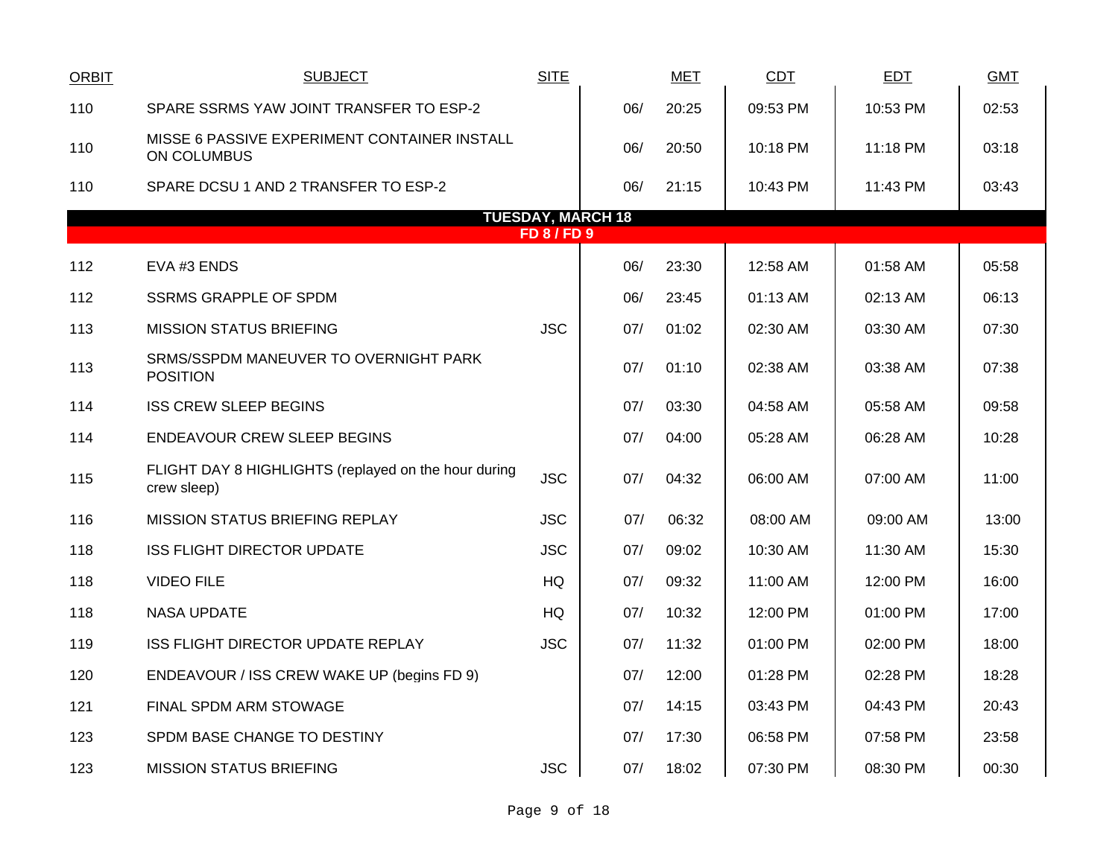| ORBIT | <b>SUBJECT</b>                                                      | <b>SITE</b>      |                          | <b>MET</b> | <b>CDT</b> | <b>EDT</b> | <b>GMT</b> |
|-------|---------------------------------------------------------------------|------------------|--------------------------|------------|------------|------------|------------|
| 110   | SPARE SSRMS YAW JOINT TRANSFER TO ESP-2                             |                  | 06/                      | 20:25      | 09:53 PM   | 10:53 PM   | 02:53      |
| 110   | MISSE 6 PASSIVE EXPERIMENT CONTAINER INSTALL<br><b>ON COLUMBUS</b>  |                  | 06/                      | 20:50      | 10:18 PM   | 11:18 PM   | 03:18      |
| 110   | SPARE DCSU 1 AND 2 TRANSFER TO ESP-2                                |                  | 06/                      | 21:15      | 10:43 PM   | 11:43 PM   | 03:43      |
|       |                                                                     |                  | <b>TUESDAY, MARCH 18</b> |            |            |            |            |
|       |                                                                     | <b>FD 8/FD 9</b> |                          |            |            |            |            |
| 112   | EVA #3 ENDS                                                         |                  | 06/                      | 23:30      | 12:58 AM   | 01:58 AM   | 05:58      |
| 112   | <b>SSRMS GRAPPLE OF SPDM</b>                                        |                  | 06/                      | 23:45      | 01:13 AM   | 02:13 AM   | 06:13      |
| 113   | <b>MISSION STATUS BRIEFING</b>                                      | <b>JSC</b>       | 07/                      | 01:02      | 02:30 AM   | 03:30 AM   | 07:30      |
| 113   | SRMS/SSPDM MANEUVER TO OVERNIGHT PARK<br><b>POSITION</b>            |                  | 07/                      | 01:10      | 02:38 AM   | 03:38 AM   | 07:38      |
| 114   | <b>ISS CREW SLEEP BEGINS</b>                                        |                  | 07/                      | 03:30      | 04:58 AM   | 05:58 AM   | 09:58      |
| 114   | <b>ENDEAVOUR CREW SLEEP BEGINS</b>                                  |                  | 07/                      | 04:00      | 05:28 AM   | 06:28 AM   | 10:28      |
| 115   | FLIGHT DAY 8 HIGHLIGHTS (replayed on the hour during<br>crew sleep) | <b>JSC</b>       | 07/                      | 04:32      | 06:00 AM   | 07:00 AM   | 11:00      |
| 116   | MISSION STATUS BRIEFING REPLAY                                      | <b>JSC</b>       | 07/                      | 06:32      | 08:00 AM   | 09:00 AM   | 13:00      |
| 118   | <b>ISS FLIGHT DIRECTOR UPDATE</b>                                   | <b>JSC</b>       | 07/                      | 09:02      | 10:30 AM   | 11:30 AM   | 15:30      |
| 118   | <b>VIDEO FILE</b>                                                   | <b>HQ</b>        | 07/                      | 09:32      | 11:00 AM   | 12:00 PM   | 16:00      |
| 118   | <b>NASA UPDATE</b>                                                  | HQ               | 07/                      | 10:32      | 12:00 PM   | 01:00 PM   | 17:00      |
| 119   | <b>ISS FLIGHT DIRECTOR UPDATE REPLAY</b>                            | <b>JSC</b>       | 07/                      | 11:32      | 01:00 PM   | 02:00 PM   | 18:00      |
| 120   | ENDEAVOUR / ISS CREW WAKE UP (begins FD 9)                          |                  | 07/                      | 12:00      | 01:28 PM   | 02:28 PM   | 18:28      |
| 121   | FINAL SPDM ARM STOWAGE                                              |                  | 07/                      | 14:15      | 03:43 PM   | 04:43 PM   | 20:43      |
| 123   | SPDM BASE CHANGE TO DESTINY                                         |                  | 07/                      | 17:30      | 06:58 PM   | 07:58 PM   | 23:58      |
| 123   | <b>MISSION STATUS BRIEFING</b>                                      | <b>JSC</b>       | 07/                      | 18:02      | 07:30 PM   | 08:30 PM   | 00:30      |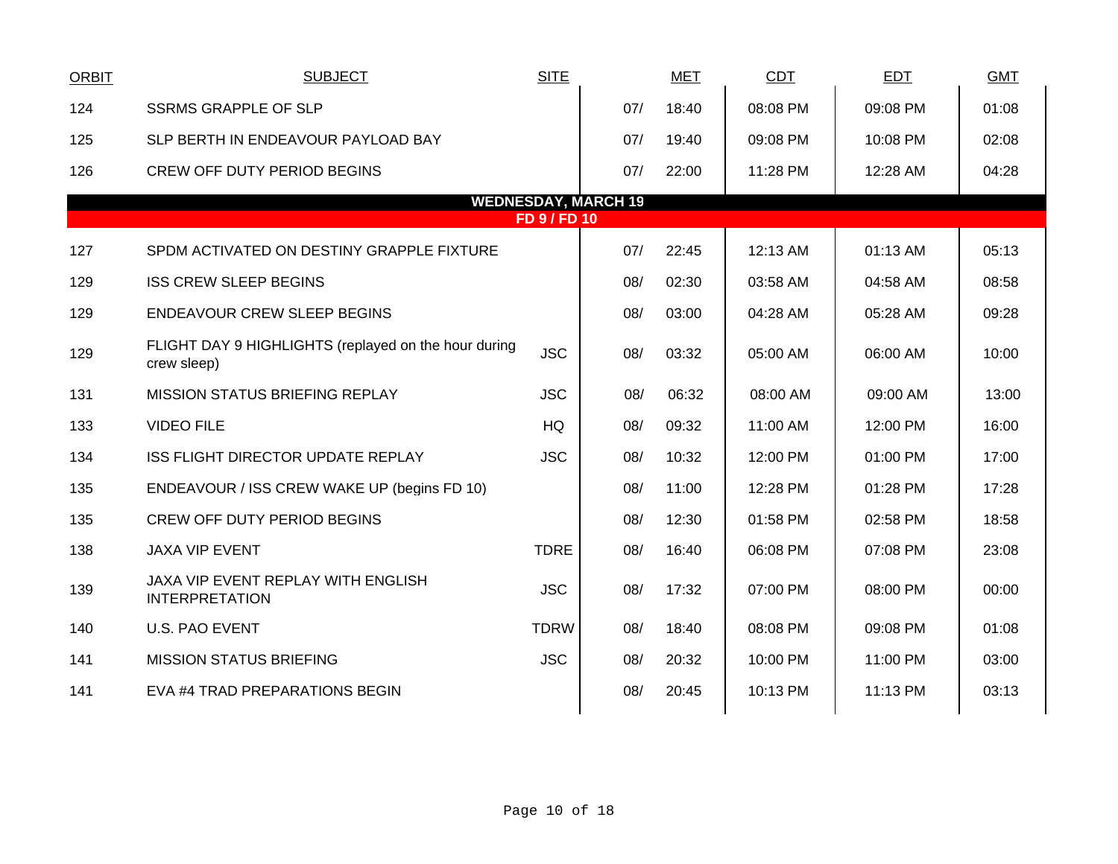| <b>ORBIT</b> | <b>SUBJECT</b>                                                      | <b>SITE</b>         |                            | <u>MET</u> | <b>CDT</b> | <b>EDT</b> | <b>GMT</b> |
|--------------|---------------------------------------------------------------------|---------------------|----------------------------|------------|------------|------------|------------|
| 124          | <b>SSRMS GRAPPLE OF SLP</b>                                         |                     | 07/                        | 18:40      | 08:08 PM   | 09:08 PM   | 01:08      |
| 125          | SLP BERTH IN ENDEAVOUR PAYLOAD BAY                                  |                     | 07/                        | 19:40      | 09:08 PM   | 10:08 PM   | 02:08      |
| 126          | <b>CREW OFF DUTY PERIOD BEGINS</b>                                  |                     | 07/                        | 22:00      | 11:28 PM   | 12:28 AM   | 04:28      |
|              |                                                                     |                     | <b>WEDNESDAY, MARCH 19</b> |            |            |            |            |
|              |                                                                     | <b>FD 9 / FD 10</b> |                            |            |            |            |            |
| 127          | SPDM ACTIVATED ON DESTINY GRAPPLE FIXTURE                           |                     | 07/                        | 22:45      | 12:13 AM   | 01:13 AM   | 05:13      |
| 129          | <b>ISS CREW SLEEP BEGINS</b>                                        |                     | 08/                        | 02:30      | 03:58 AM   | 04:58 AM   | 08:58      |
| 129          | <b>ENDEAVOUR CREW SLEEP BEGINS</b>                                  |                     | 08/                        | 03:00      | 04:28 AM   | 05:28 AM   | 09:28      |
| 129          | FLIGHT DAY 9 HIGHLIGHTS (replayed on the hour during<br>crew sleep) | <b>JSC</b>          | 08/                        | 03:32      | 05:00 AM   | 06:00 AM   | 10:00      |
| 131          | <b>MISSION STATUS BRIEFING REPLAY</b>                               | <b>JSC</b>          | 08/                        | 06:32      | 08:00 AM   | 09:00 AM   | 13:00      |
| 133          | <b>VIDEO FILE</b>                                                   | HQ                  | 08/                        | 09:32      | 11:00 AM   | 12:00 PM   | 16:00      |
| 134          | <b>ISS FLIGHT DIRECTOR UPDATE REPLAY</b>                            | <b>JSC</b>          | 08/                        | 10:32      | 12:00 PM   | 01:00 PM   | 17:00      |
| 135          | ENDEAVOUR / ISS CREW WAKE UP (begins FD 10)                         |                     | 08/                        | 11:00      | 12:28 PM   | 01:28 PM   | 17:28      |
| 135          | <b>CREW OFF DUTY PERIOD BEGINS</b>                                  |                     | 08/                        | 12:30      | 01:58 PM   | 02:58 PM   | 18:58      |
| 138          | <b>JAXA VIP EVENT</b>                                               | <b>TDRE</b>         | 08/                        | 16:40      | 06:08 PM   | 07:08 PM   | 23:08      |
| 139          | JAXA VIP EVENT REPLAY WITH ENGLISH<br><b>INTERPRETATION</b>         | <b>JSC</b>          | 08/                        | 17:32      | 07:00 PM   | 08:00 PM   | 00:00      |
| 140          | <b>U.S. PAO EVENT</b>                                               | <b>TDRW</b>         | 08/                        | 18:40      | 08:08 PM   | 09:08 PM   | 01:08      |
| 141          | <b>MISSION STATUS BRIEFING</b>                                      | <b>JSC</b>          | 08/                        | 20:32      | 10:00 PM   | 11:00 PM   | 03:00      |
| 141          | EVA #4 TRAD PREPARATIONS BEGIN                                      |                     | 08/                        | 20:45      | 10:13 PM   | 11:13 PM   | 03:13      |
|              |                                                                     |                     |                            |            |            |            |            |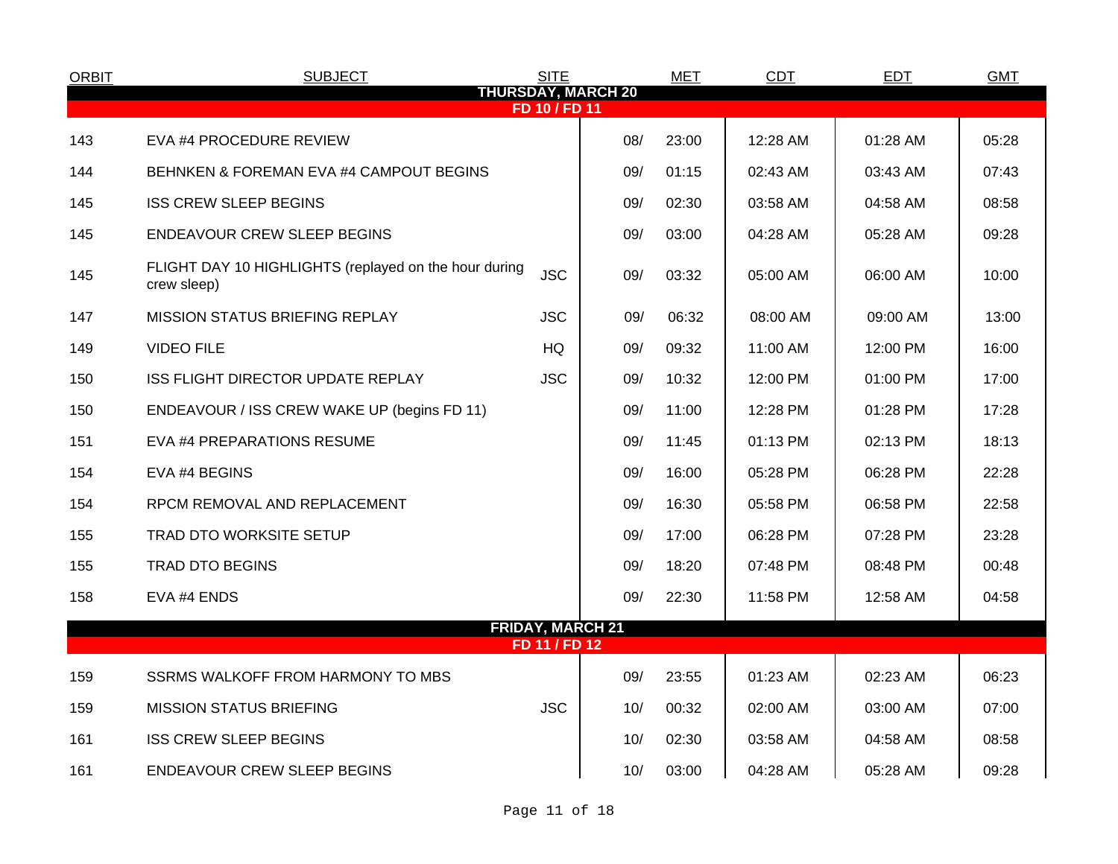| <b>ORBIT</b> | <b>SUBJECT</b>                                                       | <b>SITE</b>                              |                           | <b>MET</b> | <b>CDT</b> | <b>EDT</b> | <b>GMT</b> |  |
|--------------|----------------------------------------------------------------------|------------------------------------------|---------------------------|------------|------------|------------|------------|--|
|              |                                                                      | FD 10 / FD 11                            | <b>THURSDAY, MARCH 20</b> |            |            |            |            |  |
| 143          | EVA #4 PROCEDURE REVIEW                                              |                                          | 08/                       | 23:00      | 12:28 AM   | 01:28 AM   | 05:28      |  |
| 144          | BEHNKEN & FOREMAN EVA #4 CAMPOUT BEGINS                              |                                          | 09/                       | 01:15      | 02:43 AM   | 03:43 AM   | 07:43      |  |
| 145          | <b>ISS CREW SLEEP BEGINS</b>                                         |                                          | 09/                       | 02:30      | 03:58 AM   | 04:58 AM   | 08:58      |  |
| 145          | <b>ENDEAVOUR CREW SLEEP BEGINS</b>                                   |                                          | 09/                       | 03:00      | 04:28 AM   | 05:28 AM   | 09:28      |  |
| 145          | FLIGHT DAY 10 HIGHLIGHTS (replayed on the hour during<br>crew sleep) | <b>JSC</b>                               | 09/                       | 03:32      | 05:00 AM   | 06:00 AM   | 10:00      |  |
| 147          | MISSION STATUS BRIEFING REPLAY                                       | <b>JSC</b>                               | 09/                       | 06:32      | 08:00 AM   | 09:00 AM   | 13:00      |  |
| 149          | <b>VIDEO FILE</b>                                                    | HQ                                       | 09/                       | 09:32      | 11:00 AM   | 12:00 PM   | 16:00      |  |
| 150          | <b>ISS FLIGHT DIRECTOR UPDATE REPLAY</b>                             | <b>JSC</b>                               | 09/                       | 10:32      | 12:00 PM   | 01:00 PM   | 17:00      |  |
| 150          | ENDEAVOUR / ISS CREW WAKE UP (begins FD 11)                          |                                          | 09/                       | 11:00      | 12:28 PM   | 01:28 PM   | 17:28      |  |
| 151          | EVA #4 PREPARATIONS RESUME                                           |                                          | 09/                       | 11:45      | 01:13 PM   | 02:13 PM   | 18:13      |  |
| 154          | EVA #4 BEGINS                                                        |                                          | 09/                       | 16:00      | 05:28 PM   | 06:28 PM   | 22:28      |  |
| 154          | RPCM REMOVAL AND REPLACEMENT                                         |                                          | 09/                       | 16:30      | 05:58 PM   | 06:58 PM   | 22:58      |  |
| 155          | <b>TRAD DTO WORKSITE SETUP</b>                                       |                                          | 09/                       | 17:00      | 06:28 PM   | 07:28 PM   | 23:28      |  |
| 155          | <b>TRAD DTO BEGINS</b>                                               |                                          | 09/                       | 18:20      | 07:48 PM   | 08:48 PM   | 00:48      |  |
| 158          | EVA #4 ENDS                                                          |                                          | 09/                       | 22:30      | 11:58 PM   | 12:58 AM   | 04:58      |  |
|              |                                                                      | <b>FRIDAY, MARCH 21</b><br>FD 11 / FD 12 |                           |            |            |            |            |  |
|              |                                                                      |                                          |                           |            |            |            |            |  |
| 159          | SSRMS WALKOFF FROM HARMONY TO MBS                                    |                                          | 09/                       | 23:55      | 01:23 AM   | 02:23 AM   | 06:23      |  |
| 159          | <b>MISSION STATUS BRIEFING</b>                                       | <b>JSC</b>                               | 10/                       | 00:32      | 02:00 AM   | 03:00 AM   | 07:00      |  |
| 161          | <b>ISS CREW SLEEP BEGINS</b>                                         |                                          | 10/                       | 02:30      | 03:58 AM   | 04:58 AM   | 08:58      |  |
| 161          | ENDEAVOUR CREW SLEEP BEGINS                                          |                                          | 10/                       | 03:00      | 04:28 AM   | 05:28 AM   | 09:28      |  |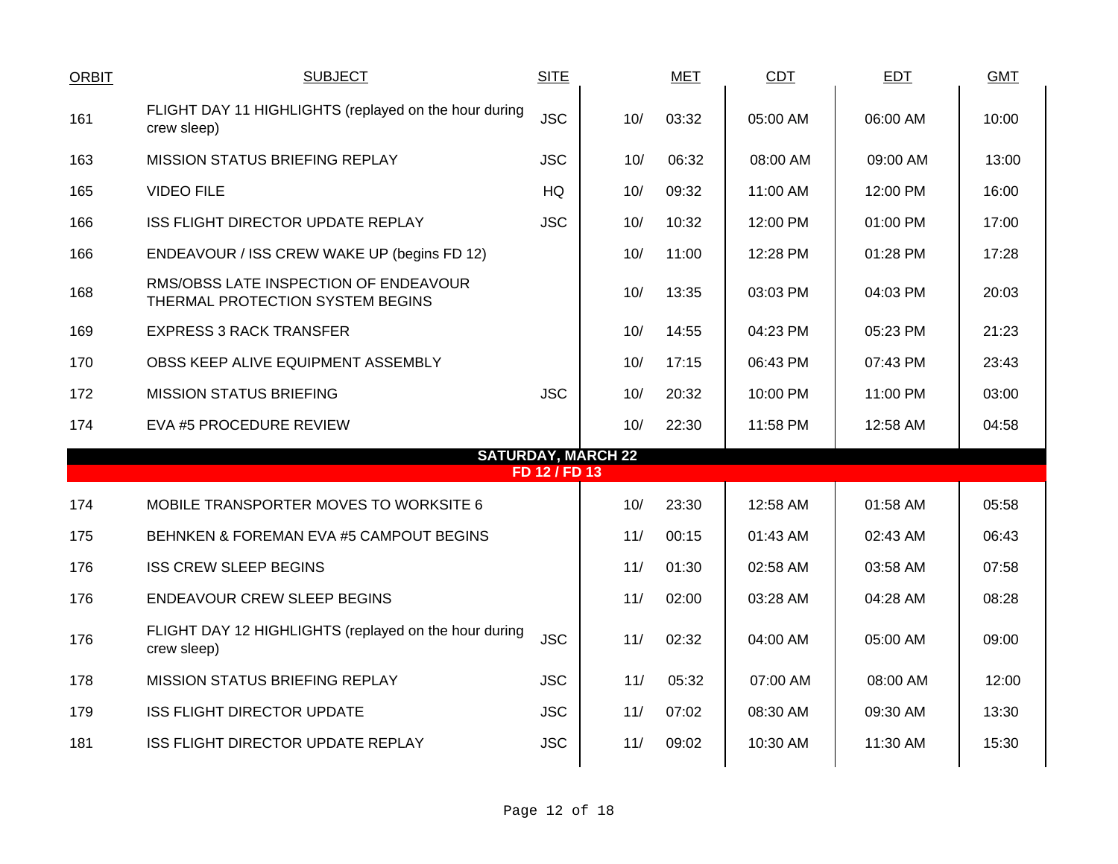| <b>ORBIT</b> | <b>SUBJECT</b>                                                            | <b>SITE</b>   |                           | <b>MET</b> | CDT      | <b>EDT</b> | <b>GMT</b> |
|--------------|---------------------------------------------------------------------------|---------------|---------------------------|------------|----------|------------|------------|
| 161          | FLIGHT DAY 11 HIGHLIGHTS (replayed on the hour during<br>crew sleep)      | <b>JSC</b>    | 10/                       | 03:32      | 05:00 AM | 06:00 AM   | 10:00      |
| 163          | <b>MISSION STATUS BRIEFING REPLAY</b>                                     | <b>JSC</b>    | 10/                       | 06:32      | 08:00 AM | 09:00 AM   | 13:00      |
| 165          | <b>VIDEO FILE</b>                                                         | <b>HQ</b>     | 10/                       | 09:32      | 11:00 AM | 12:00 PM   | 16:00      |
| 166          | ISS FLIGHT DIRECTOR UPDATE REPLAY                                         | <b>JSC</b>    | 10/                       | 10:32      | 12:00 PM | 01:00 PM   | 17:00      |
| 166          | ENDEAVOUR / ISS CREW WAKE UP (begins FD 12)                               |               | 10/                       | 11:00      | 12:28 PM | 01:28 PM   | 17:28      |
| 168          | RMS/OBSS LATE INSPECTION OF ENDEAVOUR<br>THERMAL PROTECTION SYSTEM BEGINS |               | 10/                       | 13:35      | 03:03 PM | 04:03 PM   | 20:03      |
| 169          | <b>EXPRESS 3 RACK TRANSFER</b>                                            |               | 10/                       | 14:55      | 04:23 PM | 05:23 PM   | 21:23      |
| 170          | OBSS KEEP ALIVE EQUIPMENT ASSEMBLY                                        |               | 10/                       | 17:15      | 06:43 PM | 07:43 PM   | 23:43      |
| 172          | <b>MISSION STATUS BRIEFING</b>                                            | <b>JSC</b>    | 10/                       | 20:32      | 10:00 PM | 11:00 PM   | 03:00      |
| 174          | EVA #5 PROCEDURE REVIEW                                                   |               | 10/                       | 22:30      | 11:58 PM | 12:58 AM   | 04:58      |
|              |                                                                           | FD 12 / FD 13 | <b>SATURDAY, MARCH 22</b> |            |          |            |            |
|              |                                                                           |               |                           |            |          |            |            |
| 174          | MOBILE TRANSPORTER MOVES TO WORKSITE 6                                    |               | 10/                       | 23:30      | 12:58 AM | 01:58 AM   | 05:58      |
| 175          | BEHNKEN & FOREMAN EVA #5 CAMPOUT BEGINS                                   |               | 11/                       | 00:15      | 01:43 AM | 02:43 AM   | 06:43      |
| 176          | <b>ISS CREW SLEEP BEGINS</b>                                              |               | 11/                       | 01:30      | 02:58 AM | 03:58 AM   | 07:58      |
| 176          | <b>ENDEAVOUR CREW SLEEP BEGINS</b>                                        |               | 11/                       | 02:00      | 03:28 AM | 04:28 AM   | 08:28      |
| 176          | FLIGHT DAY 12 HIGHLIGHTS (replayed on the hour during<br>crew sleep)      | <b>JSC</b>    | 11/                       | 02:32      | 04:00 AM | 05:00 AM   | 09:00      |
| 178          | MISSION STATUS BRIEFING REPLAY                                            | <b>JSC</b>    | 11/                       | 05:32      | 07:00 AM | 08:00 AM   | 12:00      |
| 179          | <b>ISS FLIGHT DIRECTOR UPDATE</b>                                         | <b>JSC</b>    | 11/                       | 07:02      | 08:30 AM | 09:30 AM   | 13:30      |
| 181          | ISS FLIGHT DIRECTOR UPDATE REPLAY                                         | <b>JSC</b>    | 11/                       | 09:02      | 10:30 AM | 11:30 AM   | 15:30      |
|              |                                                                           |               |                           |            |          |            |            |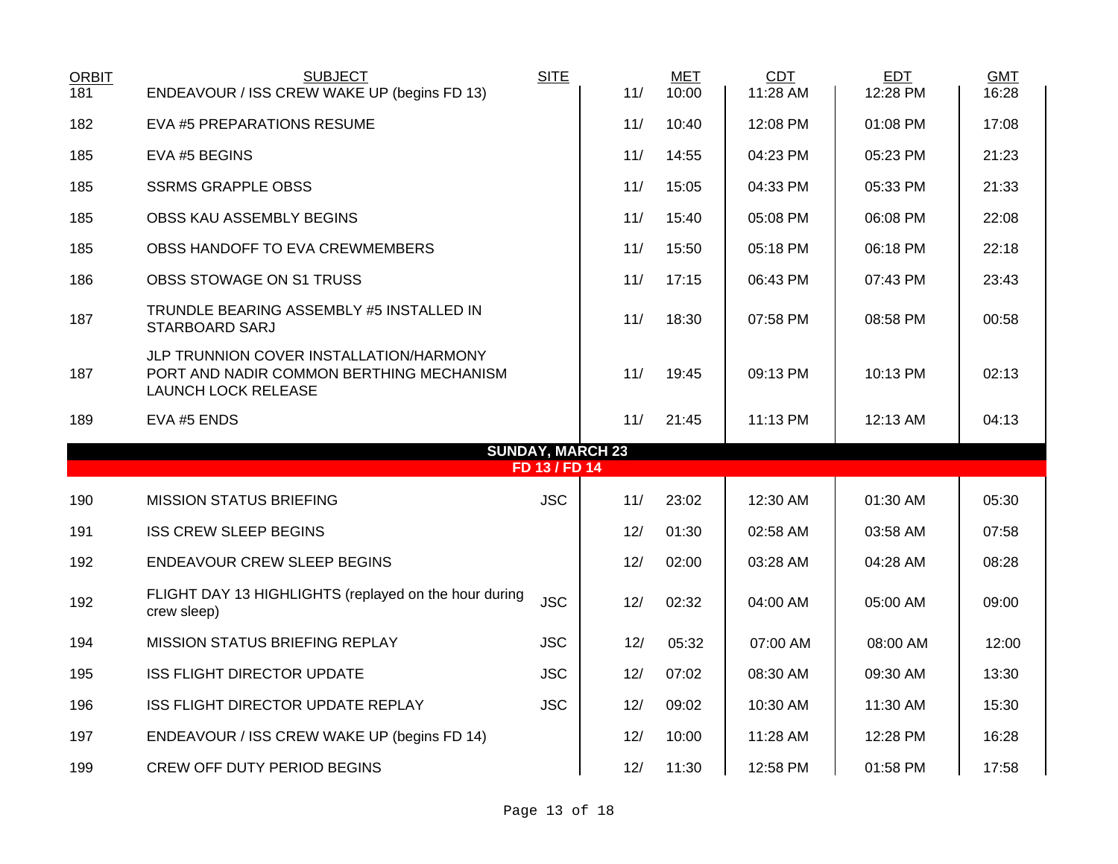| <b>ORBIT</b><br>181 | <b>SUBJECT</b><br>ENDEAVOUR / ISS CREW WAKE UP (begins FD 13)                                                     | <b>SITE</b>   | 11/                     | <b>MET</b><br>10:00 | <b>CDT</b><br>11:28 AM | <b>EDT</b><br>12:28 PM | <b>GMT</b><br>16:28 |
|---------------------|-------------------------------------------------------------------------------------------------------------------|---------------|-------------------------|---------------------|------------------------|------------------------|---------------------|
| 182                 | EVA #5 PREPARATIONS RESUME                                                                                        |               | 11/                     | 10:40               | 12:08 PM               | 01:08 PM               | 17:08               |
| 185                 | EVA #5 BEGINS                                                                                                     |               | 11/                     | 14:55               | 04:23 PM               | 05:23 PM               | 21:23               |
| 185                 | <b>SSRMS GRAPPLE OBSS</b>                                                                                         |               | 11/                     | 15:05               | 04:33 PM               | 05:33 PM               | 21:33               |
| 185                 | OBSS KAU ASSEMBLY BEGINS                                                                                          |               | 11/                     | 15:40               | 05:08 PM               | 06:08 PM               | 22:08               |
| 185                 | OBSS HANDOFF TO EVA CREWMEMBERS                                                                                   |               | 11/                     | 15:50               | 05:18 PM               | 06:18 PM               | 22:18               |
| 186                 | OBSS STOWAGE ON S1 TRUSS                                                                                          |               | 11/                     | 17:15               | 06:43 PM               | 07:43 PM               | 23:43               |
| 187                 | TRUNDLE BEARING ASSEMBLY #5 INSTALLED IN<br>STARBOARD SARJ                                                        |               | 11/                     | 18:30               | 07:58 PM               | 08:58 PM               | 00:58               |
| 187                 | JLP TRUNNION COVER INSTALLATION/HARMONY<br>PORT AND NADIR COMMON BERTHING MECHANISM<br><b>LAUNCH LOCK RELEASE</b> |               | 11/                     | 19:45               | 09:13 PM               | 10:13 PM               | 02:13               |
| 189                 | EVA #5 ENDS                                                                                                       |               | 11/                     | 21:45               | 11:13 PM               | 12:13 AM               | 04:13               |
|                     |                                                                                                                   |               | <b>SUNDAY, MARCH 23</b> |                     |                        |                        |                     |
|                     |                                                                                                                   | FD 13 / FD 14 |                         |                     |                        |                        |                     |
| 190                 | <b>MISSION STATUS BRIEFING</b>                                                                                    | <b>JSC</b>    | 11/                     | 23:02               | 12:30 AM               | 01:30 AM               | 05:30               |
| 191                 | <b>ISS CREW SLEEP BEGINS</b>                                                                                      |               | 12/                     | 01:30               | 02:58 AM               | 03:58 AM               | 07:58               |
| 192                 | <b>ENDEAVOUR CREW SLEEP BEGINS</b>                                                                                |               | 12/                     | 02:00               | 03:28 AM               | 04:28 AM               | 08:28               |
| 192                 | FLIGHT DAY 13 HIGHLIGHTS (replayed on the hour during<br>crew sleep)                                              | <b>JSC</b>    | 12/                     | 02:32               | 04:00 AM               | 05:00 AM               | 09:00               |
| 194                 | MISSION STATUS BRIEFING REPLAY                                                                                    | <b>JSC</b>    | 12/                     | 05:32               | 07:00 AM               | 08:00 AM               | 12:00               |
| 195                 | <b>ISS FLIGHT DIRECTOR UPDATE</b>                                                                                 | <b>JSC</b>    | 12/                     | 07:02               | 08:30 AM               | 09:30 AM               | 13:30               |
| 196                 | ISS FLIGHT DIRECTOR UPDATE REPLAY                                                                                 | <b>JSC</b>    | 12/                     | 09:02               | 10:30 AM               | 11:30 AM               | 15:30               |
| 197                 | ENDEAVOUR / ISS CREW WAKE UP (begins FD 14)                                                                       |               | 12/                     | 10:00               | 11:28 AM               | 12:28 PM               | 16:28               |
| 199                 | <b>CREW OFF DUTY PERIOD BEGINS</b>                                                                                |               | 12/                     | 11:30               | 12:58 PM               | 01:58 PM               | 17:58               |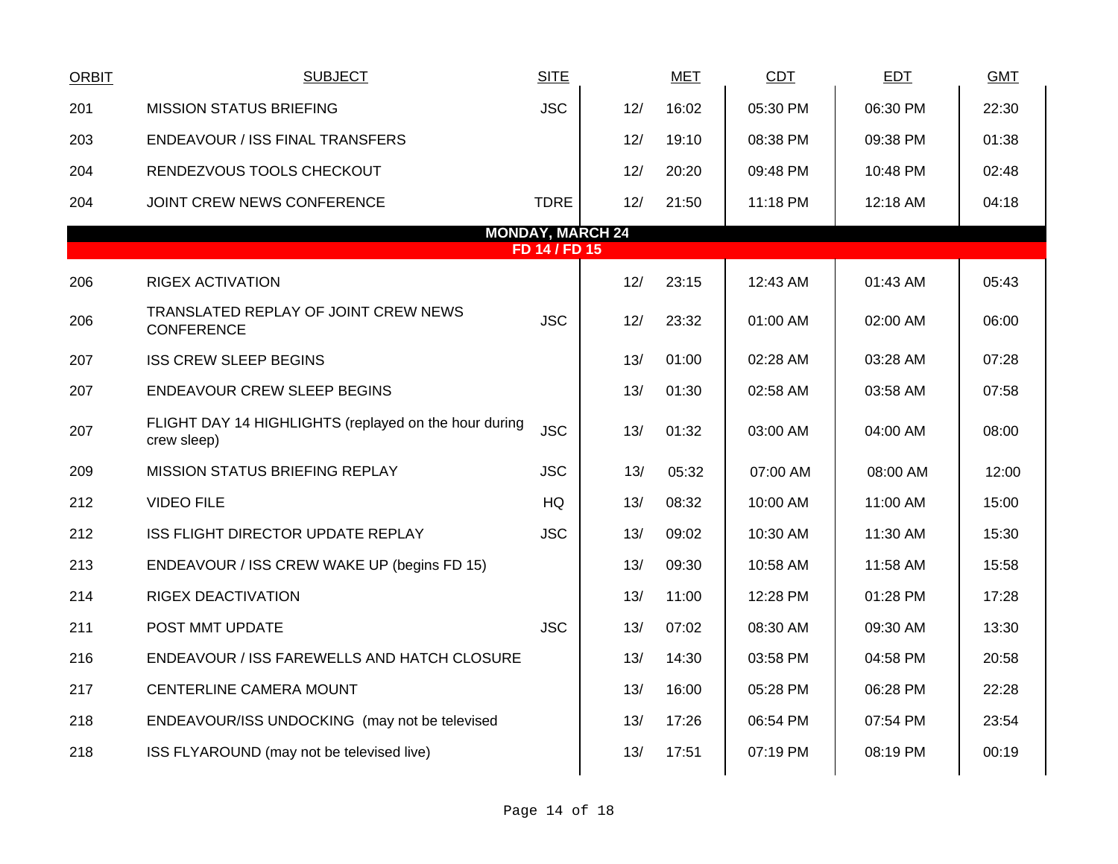| <b>ORBIT</b>                             | <b>SUBJECT</b>                                                       | <b>SITE</b> |     | <b>MET</b> | <b>CDT</b> | <b>EDT</b> | <b>GMT</b> |  |  |
|------------------------------------------|----------------------------------------------------------------------|-------------|-----|------------|------------|------------|------------|--|--|
| 201                                      | <b>MISSION STATUS BRIEFING</b>                                       | <b>JSC</b>  | 12/ | 16:02      | 05:30 PM   | 06:30 PM   | 22:30      |  |  |
| 203                                      | ENDEAVOUR / ISS FINAL TRANSFERS                                      |             | 12/ | 19:10      | 08:38 PM   | 09:38 PM   | 01:38      |  |  |
| 204                                      | RENDEZVOUS TOOLS CHECKOUT                                            |             | 12/ | 20:20      | 09:48 PM   | 10:48 PM   | 02:48      |  |  |
| 204                                      | JOINT CREW NEWS CONFERENCE                                           | <b>TDRE</b> | 12/ | 21:50      | 11:18 PM   | 12:18 AM   | 04:18      |  |  |
| <b>MONDAY, MARCH 24</b><br>FD 14 / FD 15 |                                                                      |             |     |            |            |            |            |  |  |
| 206                                      | <b>RIGEX ACTIVATION</b>                                              |             | 12/ | 23:15      | 12:43 AM   | 01:43 AM   | 05:43      |  |  |
|                                          |                                                                      |             |     |            |            |            |            |  |  |
| 206                                      | TRANSLATED REPLAY OF JOINT CREW NEWS<br><b>CONFERENCE</b>            | <b>JSC</b>  | 12/ | 23:32      | 01:00 AM   | 02:00 AM   | 06:00      |  |  |
| 207                                      | <b>ISS CREW SLEEP BEGINS</b>                                         |             | 13/ | 01:00      | 02:28 AM   | 03:28 AM   | 07:28      |  |  |
| 207                                      | <b>ENDEAVOUR CREW SLEEP BEGINS</b>                                   |             | 13/ | 01:30      | 02:58 AM   | 03:58 AM   | 07:58      |  |  |
| 207                                      | FLIGHT DAY 14 HIGHLIGHTS (replayed on the hour during<br>crew sleep) | <b>JSC</b>  | 13/ | 01:32      | 03:00 AM   | 04:00 AM   | 08:00      |  |  |
| 209                                      | MISSION STATUS BRIEFING REPLAY                                       | <b>JSC</b>  | 13/ | 05:32      | 07:00 AM   | 08:00 AM   | 12:00      |  |  |
| 212                                      | <b>VIDEO FILE</b>                                                    | HQ          | 13/ | 08:32      | 10:00 AM   | 11:00 AM   | 15:00      |  |  |
| 212                                      | ISS FLIGHT DIRECTOR UPDATE REPLAY                                    | <b>JSC</b>  | 13/ | 09:02      | 10:30 AM   | 11:30 AM   | 15:30      |  |  |
| 213                                      | ENDEAVOUR / ISS CREW WAKE UP (begins FD 15)                          |             | 13/ | 09:30      | 10:58 AM   | 11:58 AM   | 15:58      |  |  |
| 214                                      | <b>RIGEX DEACTIVATION</b>                                            |             | 13/ | 11:00      | 12:28 PM   | 01:28 PM   | 17:28      |  |  |
| 211                                      | POST MMT UPDATE                                                      | <b>JSC</b>  | 13/ | 07:02      | 08:30 AM   | 09:30 AM   | 13:30      |  |  |
| 216                                      | ENDEAVOUR / ISS FAREWELLS AND HATCH CLOSURE                          |             | 13/ | 14:30      | 03:58 PM   | 04:58 PM   | 20:58      |  |  |
| 217                                      | CENTERLINE CAMERA MOUNT                                              |             | 13/ | 16:00      | 05:28 PM   | 06:28 PM   | 22:28      |  |  |
| 218                                      | ENDEAVOUR/ISS UNDOCKING (may not be televised                        |             | 13/ | 17:26      | 06:54 PM   | 07:54 PM   | 23:54      |  |  |
| 218                                      | ISS FLYAROUND (may not be televised live)                            |             | 13/ | 17:51      | 07:19 PM   | 08:19 PM   | 00:19      |  |  |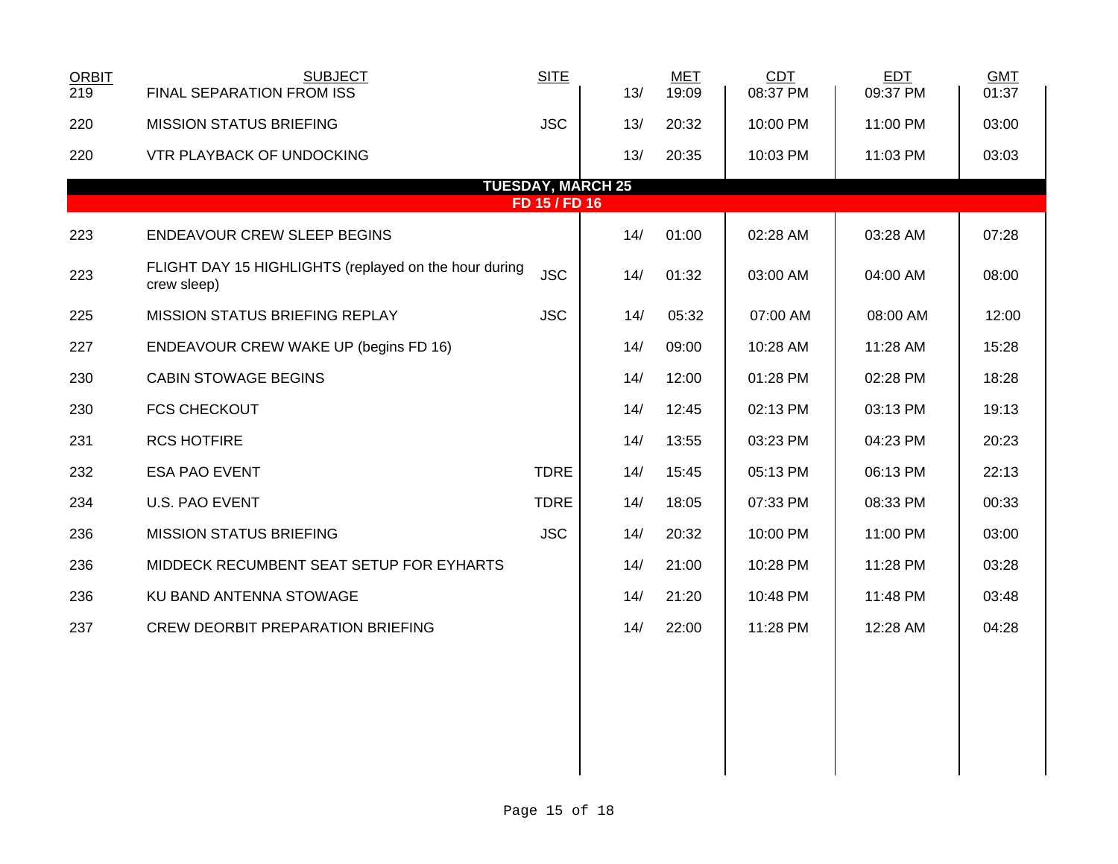| <b>ORBIT</b><br>219 | <b>SUBJECT</b><br>FINAL SEPARATION FROM ISS                          | <b>SITE</b> | 13/                      | <b>MET</b><br>19:09 | CDT<br>08:37 PM | <b>EDT</b><br>09:37 PM | <b>GMT</b><br>01:37 |  |
|---------------------|----------------------------------------------------------------------|-------------|--------------------------|---------------------|-----------------|------------------------|---------------------|--|
| 220                 | <b>MISSION STATUS BRIEFING</b>                                       | <b>JSC</b>  | 13/                      | 20:32               | 10:00 PM        | 11:00 PM               | 03:00               |  |
| 220                 | VTR PLAYBACK OF UNDOCKING                                            |             | 13/                      | 20:35               | 10:03 PM        | 11:03 PM               | 03:03               |  |
|                     |                                                                      |             | <b>TUESDAY, MARCH 25</b> |                     |                 |                        |                     |  |
| FD 15 / FD 16       |                                                                      |             |                          |                     |                 |                        |                     |  |
| 223                 | ENDEAVOUR CREW SLEEP BEGINS                                          |             | 14/                      | 01:00               | 02:28 AM        | 03:28 AM               | 07:28               |  |
| 223                 | FLIGHT DAY 15 HIGHLIGHTS (replayed on the hour during<br>crew sleep) | <b>JSC</b>  | 14/                      | 01:32               | 03:00 AM        | 04:00 AM               | 08:00               |  |
| 225                 | MISSION STATUS BRIEFING REPLAY                                       | <b>JSC</b>  | 14/                      | 05:32               | 07:00 AM        | 08:00 AM               | 12:00               |  |
| 227                 | ENDEAVOUR CREW WAKE UP (begins FD 16)                                |             | 14/                      | 09:00               | 10:28 AM        | 11:28 AM               | 15:28               |  |
| 230                 | <b>CABIN STOWAGE BEGINS</b>                                          |             | 14/                      | 12:00               | 01:28 PM        | 02:28 PM               | 18:28               |  |
| 230                 | <b>FCS CHECKOUT</b>                                                  |             | 14/                      | 12:45               | 02:13 PM        | 03:13 PM               | 19:13               |  |
| 231                 | <b>RCS HOTFIRE</b>                                                   |             | 14/                      | 13:55               | 03:23 PM        | 04:23 PM               | 20:23               |  |
| 232                 | <b>ESA PAO EVENT</b>                                                 | <b>TDRE</b> | 14/                      | 15:45               | 05:13 PM        | 06:13 PM               | 22:13               |  |
| 234                 | U.S. PAO EVENT                                                       | <b>TDRE</b> | 14/                      | 18:05               | 07:33 PM        | 08:33 PM               | 00:33               |  |
| 236                 | <b>MISSION STATUS BRIEFING</b>                                       | <b>JSC</b>  | 14/                      | 20:32               | 10:00 PM        | 11:00 PM               | 03:00               |  |
| 236                 | MIDDECK RECUMBENT SEAT SETUP FOR EYHARTS                             |             | 14/                      | 21:00               | 10:28 PM        | 11:28 PM               | 03:28               |  |
| 236                 | KU BAND ANTENNA STOWAGE                                              |             | 14/                      | 21:20               | 10:48 PM        | 11:48 PM               | 03:48               |  |
| 237                 | <b>CREW DEORBIT PREPARATION BRIEFING</b>                             |             | 14/                      | 22:00               | 11:28 PM        | 12:28 AM               | 04:28               |  |
|                     |                                                                      |             |                          |                     |                 |                        |                     |  |
|                     |                                                                      |             |                          |                     |                 |                        |                     |  |
|                     |                                                                      |             |                          |                     |                 |                        |                     |  |
|                     |                                                                      |             |                          |                     |                 |                        |                     |  |
|                     |                                                                      |             |                          |                     |                 |                        |                     |  |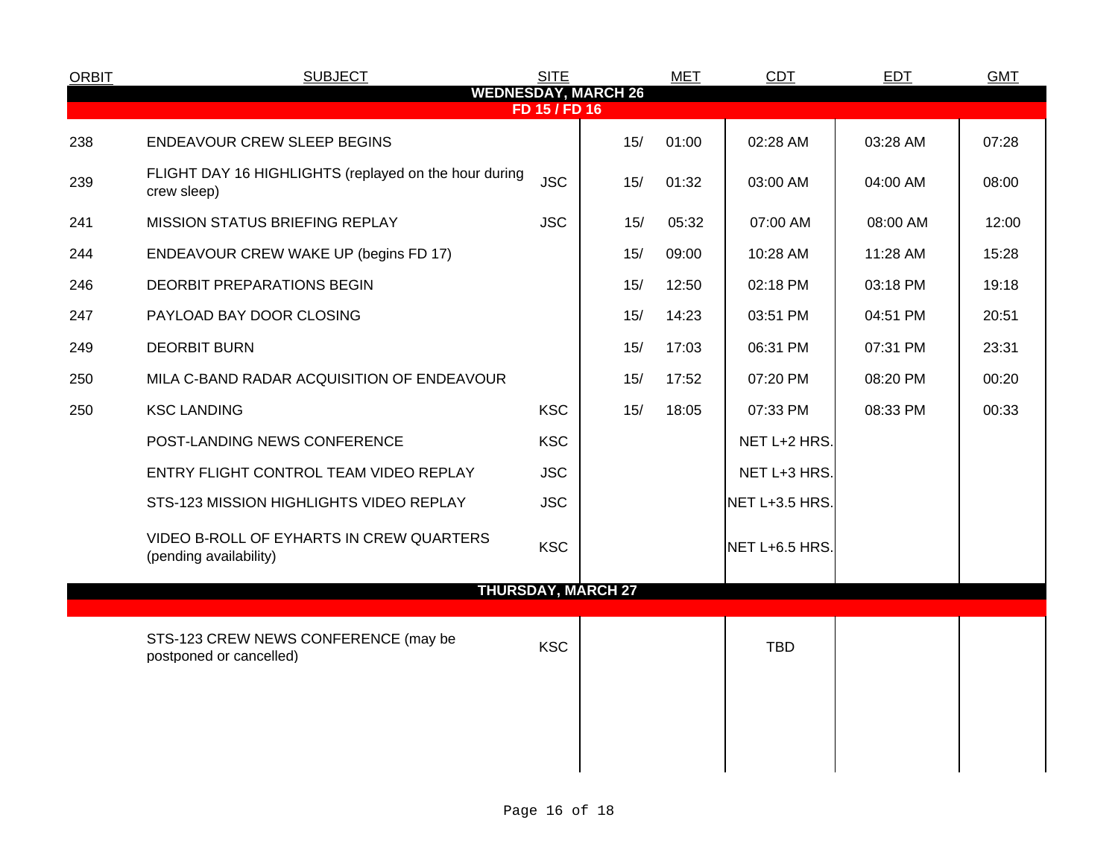| <b>ORBIT</b> | <b>SUBJECT</b>                                                       | <b>SITE</b>   |                            | <b>MET</b> | CDT            | <b>EDT</b> | <b>GMT</b> |
|--------------|----------------------------------------------------------------------|---------------|----------------------------|------------|----------------|------------|------------|
|              |                                                                      | FD 15 / FD 16 | <b>WEDNESDAY, MARCH 26</b> |            |                |            |            |
| 238          | <b>ENDEAVOUR CREW SLEEP BEGINS</b>                                   |               | 15/                        | 01:00      | 02:28 AM       | 03:28 AM   | 07:28      |
| 239          | FLIGHT DAY 16 HIGHLIGHTS (replayed on the hour during<br>crew sleep) | <b>JSC</b>    | 15/                        | 01:32      | 03:00 AM       | 04:00 AM   | 08:00      |
| 241          | MISSION STATUS BRIEFING REPLAY                                       | <b>JSC</b>    | 15/                        | 05:32      | 07:00 AM       | 08:00 AM   | 12:00      |
| 244          | ENDEAVOUR CREW WAKE UP (begins FD 17)                                |               | 15/                        | 09:00      | 10:28 AM       | 11:28 AM   | 15:28      |
| 246          | DEORBIT PREPARATIONS BEGIN                                           |               | 15/                        | 12:50      | 02:18 PM       | 03:18 PM   | 19:18      |
| 247          | PAYLOAD BAY DOOR CLOSING                                             |               | 15/                        | 14:23      | 03:51 PM       | 04:51 PM   | 20:51      |
| 249          | <b>DEORBIT BURN</b>                                                  |               | 15/                        | 17:03      | 06:31 PM       | 07:31 PM   | 23:31      |
| 250          | MILA C-BAND RADAR ACQUISITION OF ENDEAVOUR                           |               | 15/                        | 17:52      | 07:20 PM       | 08:20 PM   | 00:20      |
| 250          | <b>KSC LANDING</b>                                                   | <b>KSC</b>    | 15/                        | 18:05      | 07:33 PM       | 08:33 PM   | 00:33      |
|              | POST-LANDING NEWS CONFERENCE                                         | <b>KSC</b>    |                            |            | NET L+2 HRS.   |            |            |
|              | ENTRY FLIGHT CONTROL TEAM VIDEO REPLAY                               | <b>JSC</b>    |                            |            | NET L+3 HRS.   |            |            |
|              | STS-123 MISSION HIGHLIGHTS VIDEO REPLAY                              | <b>JSC</b>    |                            |            | NET L+3.5 HRS. |            |            |
|              | VIDEO B-ROLL OF EYHARTS IN CREW QUARTERS<br>(pending availability)   | <b>KSC</b>    |                            |            | NET L+6.5 HRS. |            |            |
|              |                                                                      |               | <b>THURSDAY, MARCH 27</b>  |            |                |            |            |
|              | STS-123 CREW NEWS CONFERENCE (may be<br>postponed or cancelled)      | <b>KSC</b>    |                            |            | <b>TBD</b>     |            |            |
|              |                                                                      |               |                            |            |                |            |            |
|              |                                                                      |               |                            |            |                |            |            |
|              |                                                                      |               |                            |            |                |            |            |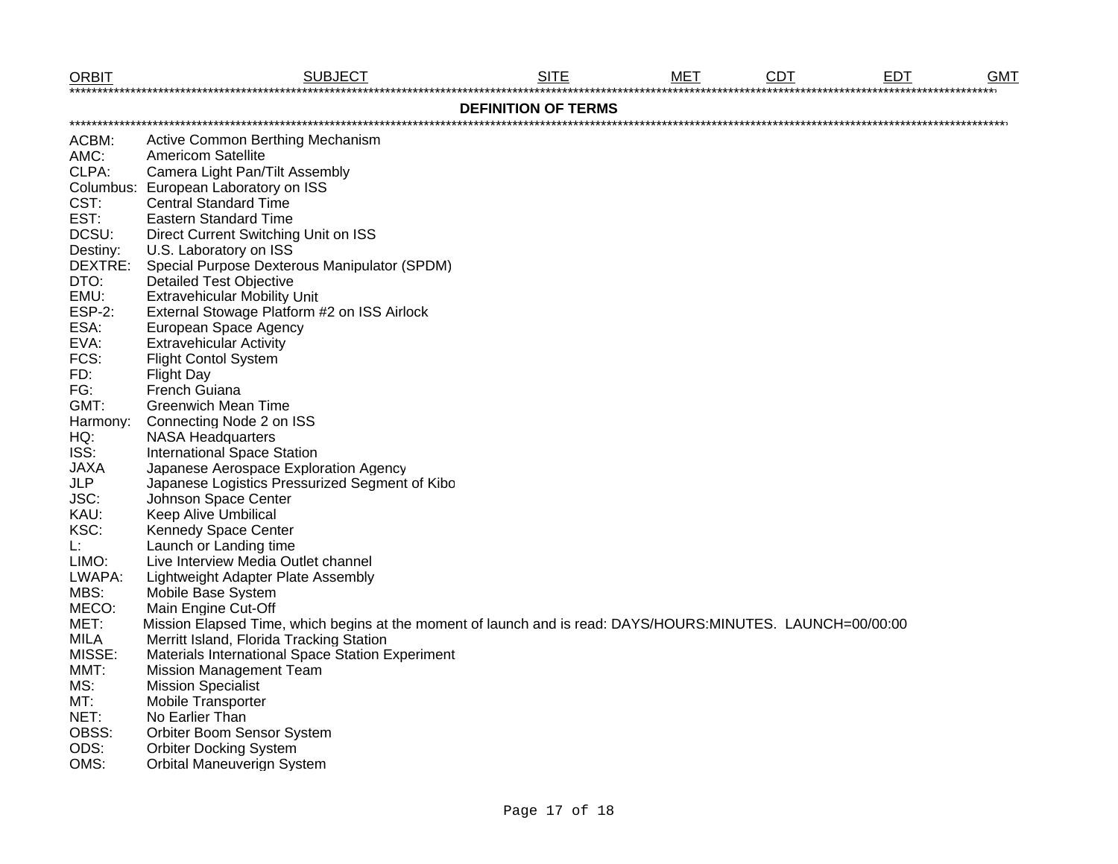| <b>ORBIT</b>          | <b>SUBJECT</b>                                                                                              | <b>SITE</b>                | мет | <b>CDT</b> | EDT | <b>GMT</b> |
|-----------------------|-------------------------------------------------------------------------------------------------------------|----------------------------|-----|------------|-----|------------|
|                       |                                                                                                             | <b>DEFINITION OF TERMS</b> |     |            |     |            |
| ACBM:                 | Active Common Berthing Mechanism                                                                            |                            |     |            |     |            |
| AMC:                  | <b>Americom Satellite</b>                                                                                   |                            |     |            |     |            |
| CLPA:                 | Camera Light Pan/Tilt Assembly                                                                              |                            |     |            |     |            |
|                       | Columbus: European Laboratory on ISS                                                                        |                            |     |            |     |            |
| CST:                  | <b>Central Standard Time</b>                                                                                |                            |     |            |     |            |
| EST:                  | <b>Eastern Standard Time</b>                                                                                |                            |     |            |     |            |
| DCSU:                 | Direct Current Switching Unit on ISS                                                                        |                            |     |            |     |            |
| Destiny:              | U.S. Laboratory on ISS                                                                                      |                            |     |            |     |            |
| DEXTRE:               | Special Purpose Dexterous Manipulator (SPDM)                                                                |                            |     |            |     |            |
| DTO:                  | <b>Detailed Test Objective</b>                                                                              |                            |     |            |     |            |
| EMU:                  | <b>Extravehicular Mobility Unit</b>                                                                         |                            |     |            |     |            |
| <b>ESP-2:</b>         | External Stowage Platform #2 on ISS Airlock                                                                 |                            |     |            |     |            |
| ESA:                  | European Space Agency                                                                                       |                            |     |            |     |            |
| EVA:                  | <b>Extravehicular Activity</b>                                                                              |                            |     |            |     |            |
| FCS:                  | <b>Flight Contol System</b>                                                                                 |                            |     |            |     |            |
| FD:                   | <b>Flight Day</b>                                                                                           |                            |     |            |     |            |
| FG:                   | French Guiana                                                                                               |                            |     |            |     |            |
| GMT:                  | <b>Greenwich Mean Time</b>                                                                                  |                            |     |            |     |            |
| Harmony:              | Connecting Node 2 on ISS                                                                                    |                            |     |            |     |            |
| HQ:                   | <b>NASA Headquarters</b>                                                                                    |                            |     |            |     |            |
| ISS:                  | <b>International Space Station</b>                                                                          |                            |     |            |     |            |
| <b>JAXA</b>           | Japanese Aerospace Exploration Agency                                                                       |                            |     |            |     |            |
| <b>JLP</b>            | Japanese Logistics Pressurized Segment of Kibo                                                              |                            |     |            |     |            |
| JSC:                  | Johnson Space Center                                                                                        |                            |     |            |     |            |
| KAU:                  | Keep Alive Umbilical                                                                                        |                            |     |            |     |            |
| KSC:                  | Kennedy Space Center                                                                                        |                            |     |            |     |            |
| Ŀ.                    | Launch or Landing time                                                                                      |                            |     |            |     |            |
| LIMO:                 | Live Interview Media Outlet channel                                                                         |                            |     |            |     |            |
| LWAPA:                | Lightweight Adapter Plate Assembly                                                                          |                            |     |            |     |            |
| MBS:                  | Mobile Base System                                                                                          |                            |     |            |     |            |
| MECO:                 | Main Engine Cut-Off                                                                                         |                            |     |            |     |            |
| MET:                  | Mission Elapsed Time, which begins at the moment of launch and is read: DAYS/HOURS:MINUTES. LAUNCH=00/00:00 |                            |     |            |     |            |
| <b>MILA</b><br>MISSE: | Merritt Island, Florida Tracking Station                                                                    |                            |     |            |     |            |
|                       | Materials International Space Station Experiment                                                            |                            |     |            |     |            |
| MMT:                  | <b>Mission Management Team</b>                                                                              |                            |     |            |     |            |
| MS:                   | <b>Mission Specialist</b>                                                                                   |                            |     |            |     |            |
| MT:<br>NET:           | Mobile Transporter<br>No Earlier Than                                                                       |                            |     |            |     |            |
| OBSS:                 |                                                                                                             |                            |     |            |     |            |
| ODS:                  | Orbiter Boom Sensor System<br><b>Orbiter Docking System</b>                                                 |                            |     |            |     |            |
| $\bigcap$             | $Q_{\text{obs}}$ is all $M_{\text{max}}$ and $\alpha$ and $Q_{\text{max}}$                                  |                            |     |            |     |            |

OMS: Orbital Maneuverign System